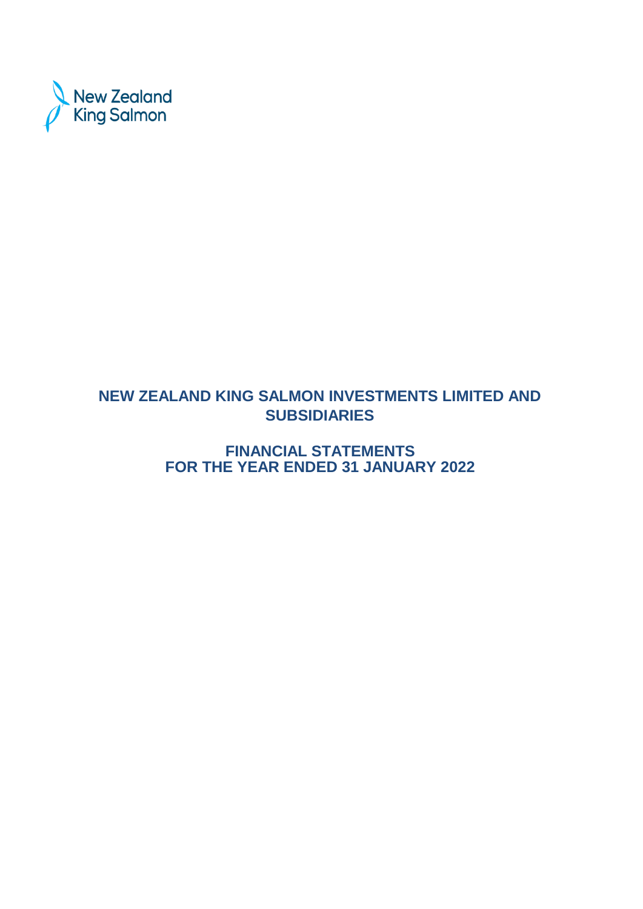

# **NEW ZEALAND KING SALMON INVESTMENTS LIMITED AND SUBSIDIARIES**

**FINANCIAL STATEMENTS FOR THE YEAR ENDED 31 JANUARY 2022**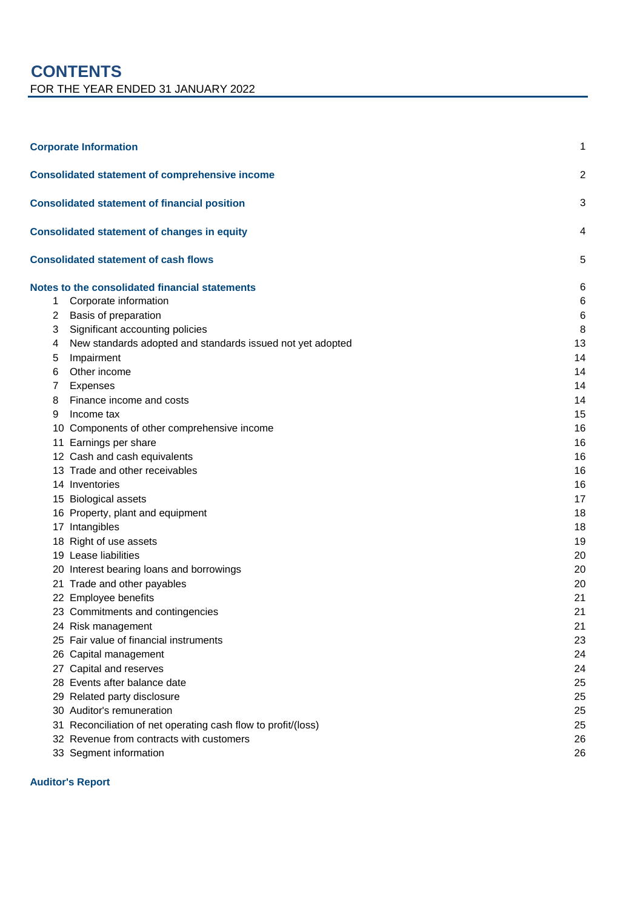# **CONTENTS** FOR THE YEAR ENDED 31 JANUARY 2022

|    | <b>Corporate Information</b>                               | 1              |
|----|------------------------------------------------------------|----------------|
|    | <b>Consolidated statement of comprehensive income</b>      | $\overline{2}$ |
|    | <b>Consolidated statement of financial position</b>        | 3              |
|    | <b>Consolidated statement of changes in equity</b>         | 4              |
|    | <b>Consolidated statement of cash flows</b>                | 5              |
|    | Notes to the consolidated financial statements             | 6              |
| 1  | Corporate information                                      | 6              |
| 2  | Basis of preparation                                       | 6              |
| 3  | Significant accounting policies                            | 8              |
| 4  | New standards adopted and standards issued not yet adopted | 13             |
| 5  | Impairment                                                 | 14             |
| 6  | Other income                                               | 14             |
| 7  | Expenses                                                   | 14             |
| 8  | Finance income and costs                                   | 14             |
| 9  | Income tax                                                 | 15             |
|    | 10 Components of other comprehensive income                | 16             |
|    | 11 Earnings per share                                      | 16             |
|    | 12 Cash and cash equivalents                               | 16             |
|    | 13 Trade and other receivables                             | 16             |
|    | 14 Inventories                                             | 16             |
|    | 15 Biological assets                                       | 17             |
|    | 16 Property, plant and equipment                           | 18             |
|    | 17 Intangibles                                             | 18             |
|    | 18 Right of use assets                                     | 19             |
|    | 19 Lease liabilities                                       | 20             |
|    | 20 Interest bearing loans and borrowings                   | 20             |
|    | 21 Trade and other payables                                | 20             |
|    | 22 Employee benefits                                       | 21             |
|    | 23 Commitments and contingencies                           | 21             |
|    | 24 Risk management                                         | 21             |
|    | 25 Fair value of financial instruments                     | 23             |
|    | 26 Capital management                                      | 24             |
|    | 27 Capital and reserves                                    | 24             |
|    | 28 Events after balance date                               | 25             |
|    | 29 Related party disclosure                                | 25             |
|    | 30 Auditor's remuneration                                  | 25             |
| 31 | Reconciliation of net operating cash flow to profit/(loss) | 25             |
|    | 32 Revenue from contracts with customers                   | 26             |
|    | 33 Segment information                                     | 26             |

**Auditor's Report**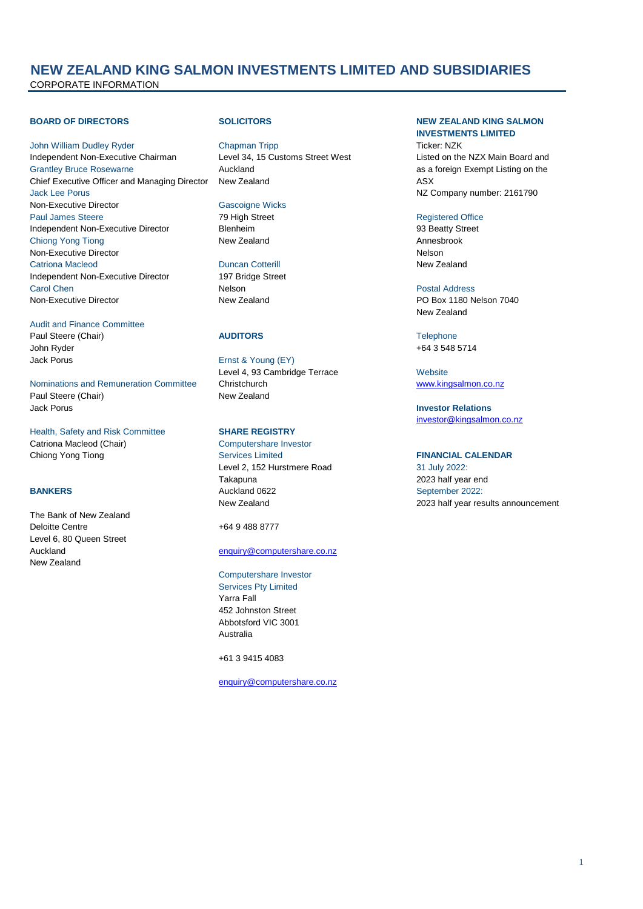## **NEW ZEALAND KING SALMON INVESTMENTS LIMITED AND SUBSIDIARIES** CORPORATE INFORMATION

John William Dudley Ryder Chapman Tripp Ticker: NZK Independent Non-Executive Chairman Level 34, 15 Customs Street West Listed on the NZX Main Board and Grantley Bruce Rosewarne **Auckland Auckland Auckland as a foreign Exempt Listing on the** Chief Executive Officer and Managing Director New Zealand ASX Jack Lee Porus 2161790 Non-Executive Director Gascoigne Wicks Paul James Steere The Contract Registered Office Registered Office Registered Office Independent Non-Executive Director Blenheim 93 Beatty Street Chiong Yong Tiong New Zealand **New Zealand** Annesbrook Non-Executive Director **Nelson** Nelson Catriona Macleod Duncan Cotterill New Zealand Independent Non-Executive Director 197 Bridge Street **Carol Chen Carol Chen Nelson Nelson Nelson Nelson Postal Address** Non-Executive Director **New Zealand** New Zealand PO Box 1180 Nelson 7040

Audit and Finance Committee **Paul Steere (Chair) AUDITORS AUDITORS Telephone** John Ryder +64 3 548 5714 Jack Porus **Ernst & Young (EY)** 

Nominations and Remuneration Committee Christchurch <br>
New Zealand<br>
New Zealand<br>
New Zealand Paul Steere (Chair) Jack Porus **Investor Relations**

Health, Safety and Risk Committee **SHARE REGISTRY** Catriona Macleod (Chair) Computershare Investor Chiong Yong Tiong **FINANCIAL CALENDAR** Services Limited **FINANCIAL CALENDAR** 

The Bank of New Zealand Deloitte Centre +64 9 488 8777 Level 6, 80 Queen Street New Zealand

Level 4, 93 Cambridge Terrace Website

Level 2, 152 Hurstmere Road 31 July 2022: Takapuna 2023 half year end **BANKERS** BANKERS **BANKERS** Auckland 0622 **September 2022:** 

### Auckland [enquiry@computershare.co.nz](mailto:enquiry@computershare.co.nz)

### Computershare Investor

Services Pty Limited Yarra Fall 452 Johnston Street Abbotsford VIC 3001 Australia

+61 3 9415 4083

[enquiry@computershare.co.nz](mailto:enquiry@computershare.co.nz)

#### **BOARD OF DIRECTORS SOLICITORS NEW ZEALAND KING SALMON INVESTMENTS LIMITED**

New Zealand

[investor@kingsalmon.co.nz](mailto:investor@kingsalmon.co.nz)

New Zealand 2023 half year results announcement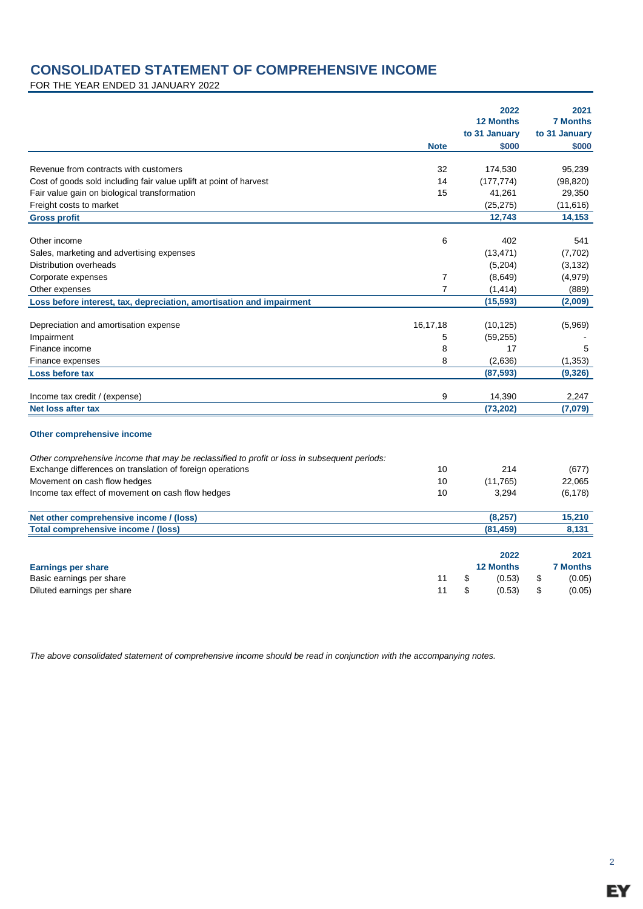# **CONSOLIDATED STATEMENT OF COMPREHENSIVE INCOME**

FOR THE YEAR ENDED 31 JANUARY 2022

|                                                                                              |                | 2022<br><b>12 Months</b> | 2021<br><b>7 Months</b> |
|----------------------------------------------------------------------------------------------|----------------|--------------------------|-------------------------|
|                                                                                              | <b>Note</b>    | to 31 January<br>\$000   | to 31 January<br>\$000  |
| Revenue from contracts with customers                                                        | 32             | 174,530                  | 95,239                  |
| Cost of goods sold including fair value uplift at point of harvest                           | 14             | (177, 774)               | (98, 820)               |
| Fair value gain on biological transformation                                                 | 15             | 41,261                   | 29,350                  |
| Freight costs to market                                                                      |                | (25, 275)                | (11, 616)               |
| <b>Gross profit</b>                                                                          |                | 12,743                   | 14,153                  |
| Other income                                                                                 | 6              | 402                      | 541                     |
| Sales, marketing and advertising expenses                                                    |                | (13, 471)                | (7, 702)                |
| Distribution overheads                                                                       |                | (5,204)                  | (3, 132)                |
| Corporate expenses                                                                           | 7              | (8,649)                  | (4,979)                 |
| Other expenses                                                                               | $\overline{7}$ | (1, 414)                 | (889)                   |
| Loss before interest, tax, depreciation, amortisation and impairment                         |                | (15, 593)                | (2,009)                 |
| Depreciation and amortisation expense                                                        | 16,17,18       | (10, 125)                | (5,969)                 |
| Impairment                                                                                   | 5              | (59, 255)                |                         |
| Finance income                                                                               | 8              | 17                       | 5                       |
| Finance expenses                                                                             | 8              | (2,636)                  | (1, 353)                |
| Loss before tax                                                                              |                | (87, 593)                | (9, 326)                |
| Income tax credit / (expense)                                                                | 9              | 14,390                   | 2.247                   |
| Net loss after tax                                                                           |                | (73, 202)                | (7,079)                 |
| Other comprehensive income                                                                   |                |                          |                         |
| Other comprehensive income that may be reclassified to profit or loss in subsequent periods: |                |                          |                         |
| Exchange differences on translation of foreign operations                                    | 10             | 214                      | (677)                   |
| Movement on cash flow hedges                                                                 | 10             | (11,765)                 | 22,065                  |
| Income tax effect of movement on cash flow hedges                                            | 10             | 3,294                    | (6, 178)                |
| Net other comprehensive income / (loss)                                                      |                | (8, 257)                 | 15,210                  |
| Total comprehensive income / (loss)                                                          |                | (81, 459)                | 8,131                   |
|                                                                                              |                | 2022                     | 2021                    |
|                                                                                              |                | <b>12 Months</b>         | <b>7 Months</b>         |
| <b>Earnings per share</b><br>Basic earnings per share                                        | 11             | \$<br>(0.53)             | \$<br>(0.05)            |
| Diluted earnings per share                                                                   | 11             | \$<br>(0.53)             | \$<br>(0.05)            |
|                                                                                              |                |                          |                         |

*The above consolidated statement of comprehensive income should be read in conjunction with the accompanying notes.*

2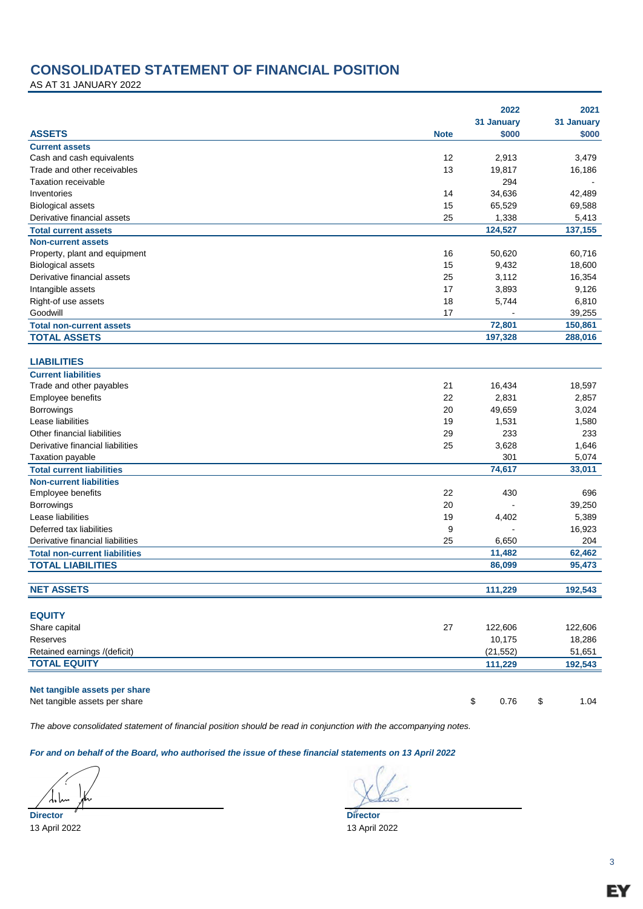## **CONSOLIDATED STATEMENT OF FINANCIAL POSITION**

AS AT 31 JANUARY 2022

|                                                     |             | 2022                              | 2021          |
|-----------------------------------------------------|-------------|-----------------------------------|---------------|
|                                                     |             | 31 January                        | 31 January    |
| <b>ASSETS</b>                                       | <b>Note</b> | \$000                             | \$000         |
| <b>Current assets</b>                               |             |                                   |               |
| Cash and cash equivalents                           | 12          | 2,913                             | 3,479         |
| Trade and other receivables                         | 13          | 19,817                            | 16,186        |
| <b>Taxation receivable</b>                          |             | 294                               |               |
| Inventories                                         | 14          | 34,636                            | 42,489        |
| <b>Biological assets</b>                            | 15          | 65,529                            | 69,588        |
| Derivative financial assets                         | 25          | 1,338                             | 5,413         |
| <b>Total current assets</b>                         |             | 124,527                           | 137,155       |
| <b>Non-current assets</b>                           |             |                                   |               |
| Property, plant and equipment                       | 16          | 50,620                            | 60,716        |
| <b>Biological assets</b>                            | 15          | 9,432                             | 18,600        |
| Derivative financial assets                         | 25          | 3,112                             | 16,354        |
| Intangible assets                                   | 17          | 3,893                             | 9,126         |
| Right-of use assets                                 | 18          | 5,744                             | 6,810         |
| Goodwill                                            | 17          |                                   | 39,255        |
| <b>Total non-current assets</b>                     |             | 72,801                            | 150,861       |
| <b>TOTAL ASSETS</b>                                 |             | 197,328                           | 288,016       |
|                                                     |             |                                   |               |
| <b>LIABILITIES</b>                                  |             |                                   |               |
| <b>Current liabilities</b>                          |             |                                   |               |
| Trade and other payables                            | 21          | 16,434                            | 18,597        |
| Employee benefits                                   | 22          | 2,831                             | 2,857         |
| Borrowings                                          | 20          | 49,659                            | 3,024         |
| Lease liabilities                                   | 19          | 1,531                             | 1,580         |
| Other financial liabilities                         | 29          | 233                               | 233           |
| Derivative financial liabilities                    | 25          | 3,628                             | 1,646         |
| <b>Taxation payable</b>                             |             | 301                               | 5,074         |
| <b>Total current liabilities</b>                    |             | 74,617                            | 33,011        |
| <b>Non-current liabilities</b>                      |             |                                   |               |
| Employee benefits                                   | 22          | 430                               | 696           |
| Borrowings                                          | 20          |                                   | 39,250        |
| Lease liabilities                                   | 19          |                                   | 5,389         |
| Deferred tax liabilities                            | 9           | 4,402<br>$\overline{\phantom{a}}$ |               |
|                                                     |             |                                   | 16,923        |
| Derivative financial liabilities                    | 25          | 6,650                             | 204<br>62,462 |
| <b>Total non-current liabilities</b>                |             | 11,482                            |               |
| <b>TOTAL LIABILITIES</b>                            |             | 86,099                            | 95,473        |
| <b>NET ASSETS</b>                                   |             |                                   |               |
|                                                     |             | 111,229                           | 192,543       |
| <b>EQUITY</b>                                       |             |                                   |               |
| Share capital                                       | 27          | 122,606                           | 122,606       |
| <b>Reserves</b>                                     |             | 10,175                            | 18,286        |
|                                                     |             | (21, 552)                         | 51,651        |
| Retained earnings /(deficit)<br><b>TOTAL EQUITY</b> |             |                                   |               |
|                                                     |             | 111,229                           | 192,543       |
| Net tangible assets per share                       |             |                                   |               |
| Net tangible assets per share                       |             | 0.76<br>\$                        | \$<br>1.04    |
|                                                     |             |                                   |               |

*The above consolidated statement of financial position should be read in conjunction with the accompanying notes.*

*For and on behalf of the Board, who authorised the issue of these financial statements on 13 April 2022*

مأماتهم

**Director Director**

13 April 2022 13 April 2022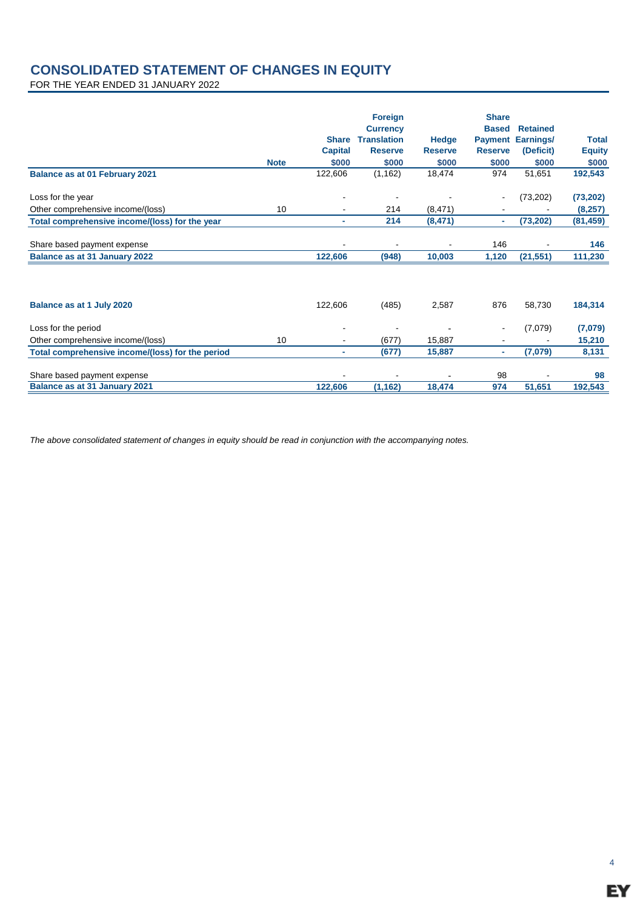## **CONSOLIDATED STATEMENT OF CHANGES IN EQUITY**

FOR THE YEAR ENDED 31 JANUARY 2022

|                                                        | <b>Note</b> | <b>Share</b><br><b>Capital</b><br>\$000 | <b>Foreign</b><br><b>Currency</b><br><b>Translation</b><br><b>Reserve</b><br>\$000 | Hedge<br><b>Reserve</b><br>\$000 | <b>Share</b><br><b>Based</b><br><b>Payment</b><br><b>Reserve</b><br>\$000 | <b>Retained</b><br>Earnings/<br>(Deficit)<br>\$000 | <b>Total</b><br><b>Equity</b><br>\$000 |
|--------------------------------------------------------|-------------|-----------------------------------------|------------------------------------------------------------------------------------|----------------------------------|---------------------------------------------------------------------------|----------------------------------------------------|----------------------------------------|
| Balance as at 01 February 2021                         |             | 122,606                                 | (1, 162)                                                                           | 18,474                           | 974                                                                       | 51,651                                             | 192,543                                |
| Loss for the year<br>Other comprehensive income/(loss) | 10          | ٠                                       | 214                                                                                | (8,471)                          |                                                                           | (73,202)                                           | (73, 202)<br>(8, 257)                  |
| Total comprehensive income/(loss) for the year         |             | ۰                                       | 214                                                                                | (8, 471)                         | ٠                                                                         | (73, 202)                                          | (81, 459)                              |
| Share based payment expense                            |             |                                         |                                                                                    |                                  | 146                                                                       |                                                    | 146                                    |
| Balance as at 31 January 2022                          |             | 122,606                                 | (948)                                                                              | 10,003                           | 1,120                                                                     | (21, 551)                                          | 111,230                                |
| Balance as at 1 July 2020                              |             | 122,606                                 | (485)                                                                              | 2,587                            | 876                                                                       | 58,730                                             | 184,314                                |
| Loss for the period                                    |             |                                         |                                                                                    |                                  |                                                                           | (7,079)                                            | (7,079)                                |
| Other comprehensive income/(loss)                      | 10          | $\blacksquare$                          | (677)                                                                              | 15,887                           |                                                                           |                                                    | 15,210                                 |
| Total comprehensive income/(loss) for the period       |             | ۰                                       | (677)                                                                              | 15,887                           | ٠                                                                         | (7,079)                                            | 8,131                                  |
| Share based payment expense                            |             |                                         |                                                                                    |                                  | 98                                                                        |                                                    | 98                                     |
| Balance as at 31 January 2021                          |             | 122,606                                 | (1, 162)                                                                           | 18,474                           | 974                                                                       | 51,651                                             | 192,543                                |

*The above consolidated statement of changes in equity should be read in conjunction with the accompanying notes.*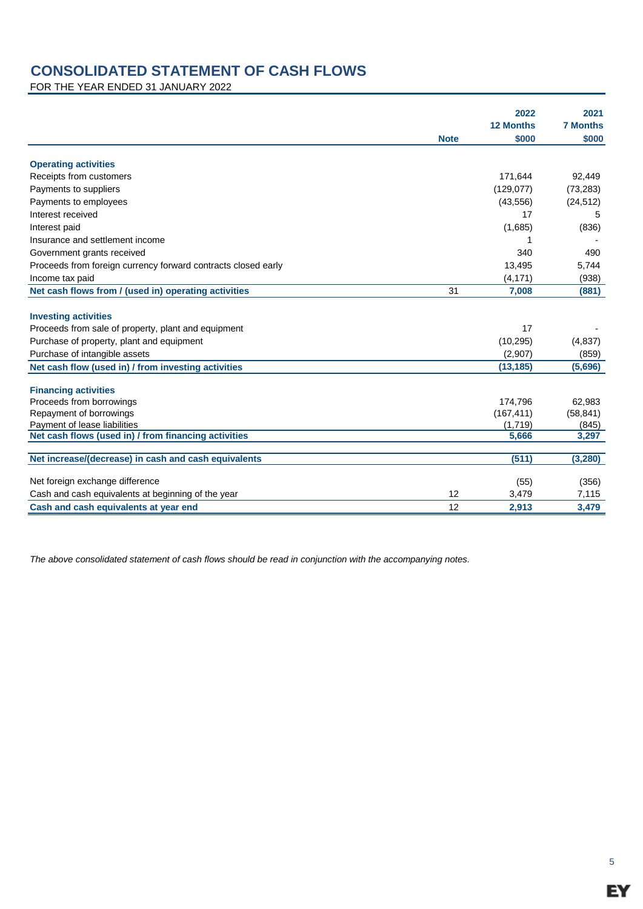# **CONSOLIDATED STATEMENT OF CASH FLOWS**

FOR THE YEAR ENDED 31 JANUARY 2022

|                                                                                      |             | 2022<br><b>12 Months</b> | 2021<br><b>7 Months</b> |
|--------------------------------------------------------------------------------------|-------------|--------------------------|-------------------------|
|                                                                                      | <b>Note</b> | \$000                    | \$000                   |
| <b>Operating activities</b>                                                          |             |                          |                         |
| Receipts from customers                                                              |             | 171,644                  | 92,449                  |
| Payments to suppliers                                                                |             | (129, 077)               | (73, 283)               |
| Payments to employees                                                                |             | (43, 556)                | (24, 512)               |
| Interest received                                                                    |             | 17                       | 5                       |
| Interest paid                                                                        |             | (1,685)                  | (836)                   |
| Insurance and settlement income                                                      |             |                          |                         |
| Government grants received                                                           |             | 340                      | 490                     |
| Proceeds from foreign currency forward contracts closed early                        |             | 13,495                   | 5,744                   |
| Income tax paid                                                                      |             | (4, 171)                 | (938)                   |
| Net cash flows from / (used in) operating activities                                 | 31          | 7,008                    | (881)                   |
|                                                                                      |             |                          |                         |
| <b>Investing activities</b>                                                          |             |                          |                         |
| Proceeds from sale of property, plant and equipment                                  |             | 17                       |                         |
| Purchase of property, plant and equipment                                            |             | (10, 295)                | (4, 837)                |
| Purchase of intangible assets                                                        |             | (2,907)                  | (859)                   |
| Net cash flow (used in) / from investing activities                                  |             | (13, 185)                | (5,696)                 |
|                                                                                      |             |                          |                         |
| <b>Financing activities</b>                                                          |             |                          |                         |
| Proceeds from borrowings                                                             |             | 174,796                  | 62,983                  |
| Repayment of borrowings                                                              |             | (167, 411)               | (58, 841)               |
| Payment of lease liabilities<br>Net cash flows (used in) / from financing activities |             | (1,719)<br>5,666         | (845)<br>3,297          |
|                                                                                      |             |                          |                         |
| Net increase/(decrease) in cash and cash equivalents                                 |             | (511)                    | (3, 280)                |
| Net foreign exchange difference                                                      |             | (55)                     | (356)                   |
| Cash and cash equivalents at beginning of the year                                   | 12          | 3,479                    | 7,115                   |
| Cash and cash equivalents at year end                                                | 12          | 2,913                    | 3,479                   |

*The above consolidated statement of cash flows should be read in conjunction with the accompanying notes.*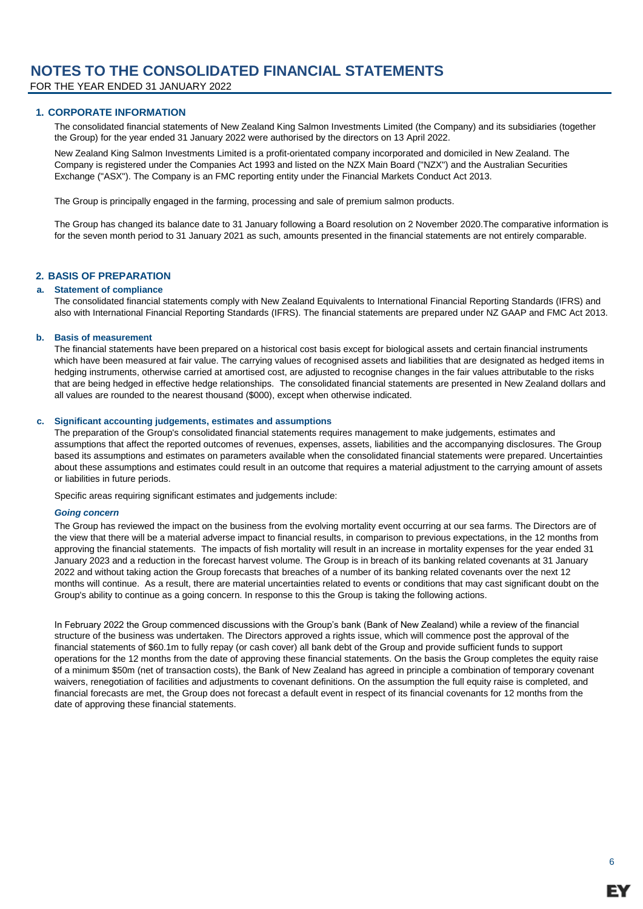FOR THE YEAR ENDED 31 JANUARY 2022

### **1. CORPORATE INFORMATION**

The consolidated financial statements of New Zealand King Salmon Investments Limited (the Company) and its subsidiaries (together the Group) for the year ended 31 January 2022 were authorised by the directors on 13 April 2022.

New Zealand King Salmon Investments Limited is a profit-orientated company incorporated and domiciled in New Zealand. The Company is registered under the Companies Act 1993 and listed on the NZX Main Board ("NZX") and the Australian Securities Exchange ("ASX"). The Company is an FMC reporting entity under the Financial Markets Conduct Act 2013.

The Group is principally engaged in the farming, processing and sale of premium salmon products.

The Group has changed its balance date to 31 January following a Board resolution on 2 November 2020.The comparative information is for the seven month period to 31 January 2021 as such, amounts presented in the financial statements are not entirely comparable.

### **2. BASIS OF PREPARATION**

#### **a. Statement of compliance**

The consolidated financial statements comply with New Zealand Equivalents to International Financial Reporting Standards (IFRS) and also with International Financial Reporting Standards (IFRS). The financial statements are prepared under NZ GAAP and FMC Act 2013.

#### **b. Basis of measurement**

The financial statements have been prepared on a historical cost basis except for biological assets and certain financial instruments which have been measured at fair value. The carrying values of recognised assets and liabilities that are designated as hedged items in hedging instruments, otherwise carried at amortised cost, are adjusted to recognise changes in the fair values attributable to the risks that are being hedged in effective hedge relationships. The consolidated financial statements are presented in New Zealand dollars and all values are rounded to the nearest thousand (\$000), except when otherwise indicated.

### **c. Significant accounting judgements, estimates and assumptions**

The preparation of the Group's consolidated financial statements requires management to make judgements, estimates and assumptions that affect the reported outcomes of revenues, expenses, assets, liabilities and the accompanying disclosures. The Group based its assumptions and estimates on parameters available when the consolidated financial statements were prepared. Uncertainties about these assumptions and estimates could result in an outcome that requires a material adjustment to the carrying amount of assets or liabilities in future periods.

Specific areas requiring significant estimates and judgements include:

### *Going concern*

The Group has reviewed the impact on the business from the evolving mortality event occurring at our sea farms. The Directors are of the view that there will be a material adverse impact to financial results, in comparison to previous expectations, in the 12 months from approving the financial statements. The impacts of fish mortality will result in an increase in mortality expenses for the year ended 31 January 2023 and a reduction in the forecast harvest volume. The Group is in breach of its banking related covenants at 31 January 2022 and without taking action the Group forecasts that breaches of a number of its banking related covenants over the next 12 months will continue. As a result, there are material uncertainties related to events or conditions that may cast significant doubt on the Group's ability to continue as a going concern. In response to this the Group is taking the following actions.

In February 2022 the Group commenced discussions with the Group's bank (Bank of New Zealand) while a review of the financial structure of the business was undertaken. The Directors approved a rights issue, which will commence post the approval of the financial statements of \$60.1m to fully repay (or cash cover) all bank debt of the Group and provide sufficient funds to support operations for the 12 months from the date of approving these financial statements. On the basis the Group completes the equity raise of a minimum \$50m (net of transaction costs), the Bank of New Zealand has agreed in principle a combination of temporary covenant waivers, renegotiation of facilities and adjustments to covenant definitions. On the assumption the full equity raise is completed, and financial forecasts are met, the Group does not forecast a default event in respect of its financial covenants for 12 months from the date of approving these financial statements.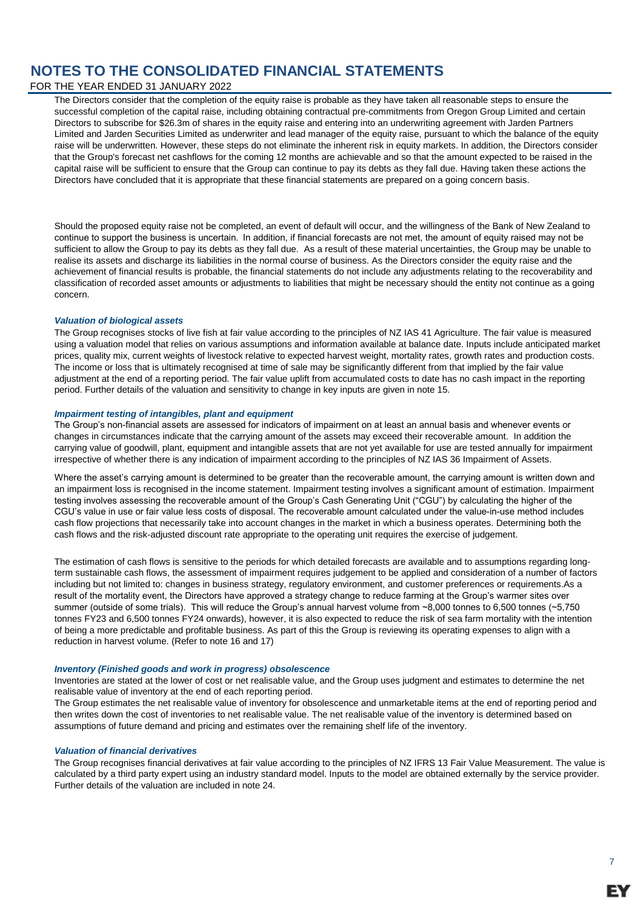### FOR THE YEAR ENDED 31 JANUARY 2022

The Directors consider that the completion of the equity raise is probable as they have taken all reasonable steps to ensure the successful completion of the capital raise, including obtaining contractual pre-commitments from Oregon Group Limited and certain Directors to subscribe for \$26.3m of shares in the equity raise and entering into an underwriting agreement with Jarden Partners Limited and Jarden Securities Limited as underwriter and lead manager of the equity raise, pursuant to which the balance of the equity raise will be underwritten. However, these steps do not eliminate the inherent risk in equity markets. In addition, the Directors consider that the Group's forecast net cashflows for the coming 12 months are achievable and so that the amount expected to be raised in the capital raise will be sufficient to ensure that the Group can continue to pay its debts as they fall due. Having taken these actions the Directors have concluded that it is appropriate that these financial statements are prepared on a going concern basis.

Should the proposed equity raise not be completed, an event of default will occur, and the willingness of the Bank of New Zealand to continue to support the business is uncertain.  In addition, if financial forecasts are not met, the amount of equity raised may not be sufficient to allow the Group to pay its debts as they fall due. As a result of these material uncertainties, the Group may be unable to realise its assets and discharge its liabilities in the normal course of business. As the Directors consider the equity raise and the achievement of financial results is probable, the financial statements do not include any adjustments relating to the recoverability and classification of recorded asset amounts or adjustments to liabilities that might be necessary should the entity not continue as a going concern.

### *Valuation of biological assets*

The Group recognises stocks of live fish at fair value according to the principles of NZ IAS 41 Agriculture. The fair value is measured using a valuation model that relies on various assumptions and information available at balance date. Inputs include anticipated market prices, quality mix, current weights of livestock relative to expected harvest weight, mortality rates, growth rates and production costs. The income or loss that is ultimately recognised at time of sale may be significantly different from that implied by the fair value adjustment at the end of a reporting period. The fair value uplift from accumulated costs to date has no cash impact in the reporting period. Further details of the valuation and sensitivity to change in key inputs are given in note 15.

### *Impairment testing of intangibles, plant and equipment*

The Group's non-financial assets are assessed for indicators of impairment on at least an annual basis and whenever events or changes in circumstances indicate that the carrying amount of the assets may exceed their recoverable amount. In addition the carrying value of goodwill, plant, equipment and intangible assets that are not yet available for use are tested annually for impairment irrespective of whether there is any indication of impairment according to the principles of NZ IAS 36 Impairment of Assets.

Where the asset's carrying amount is determined to be greater than the recoverable amount, the carrying amount is written down and an impairment loss is recognised in the income statement. Impairment testing involves a significant amount of estimation. Impairment testing involves assessing the recoverable amount of the Group's Cash Generating Unit ("CGU") by calculating the higher of the CGU's value in use or fair value less costs of disposal. The recoverable amount calculated under the value-in-use method includes cash flow projections that necessarily take into account changes in the market in which a business operates. Determining both the cash flows and the risk-adjusted discount rate appropriate to the operating unit requires the exercise of judgement.

The estimation of cash flows is sensitive to the periods for which detailed forecasts are available and to assumptions regarding longterm sustainable cash flows, the assessment of impairment requires judgement to be applied and consideration of a number of factors including but not limited to: changes in business strategy, regulatory environment, and customer preferences or requirements.As a result of the mortality event, the Directors have approved a strategy change to reduce farming at the Group's warmer sites over summer (outside of some trials). This will reduce the Group's annual harvest volume from ~8,000 tonnes to 6,500 tonnes (~5,750 tonnes FY23 and 6,500 tonnes FY24 onwards), however, it is also expected to reduce the risk of sea farm mortality with the intention of being a more predictable and profitable business. As part of this the Group is reviewing its operating expenses to align with a reduction in harvest volume. (Refer to note 16 and 17)

#### *Inventory (Finished goods and work in progress) obsolescence*

Inventories are stated at the lower of cost or net realisable value, and the Group uses judgment and estimates to determine the net realisable value of inventory at the end of each reporting period.

The Group estimates the net realisable value of inventory for obsolescence and unmarketable items at the end of reporting period and then writes down the cost of inventories to net realisable value. The net realisable value of the inventory is determined based on assumptions of future demand and pricing and estimates over the remaining shelf life of the inventory.

#### *Valuation of financial derivatives*

The Group recognises financial derivatives at fair value according to the principles of NZ IFRS 13 Fair Value Measurement. The value is calculated by a third party expert using an industry standard model. Inputs to the model are obtained externally by the service provider. Further details of the valuation are included in note 24.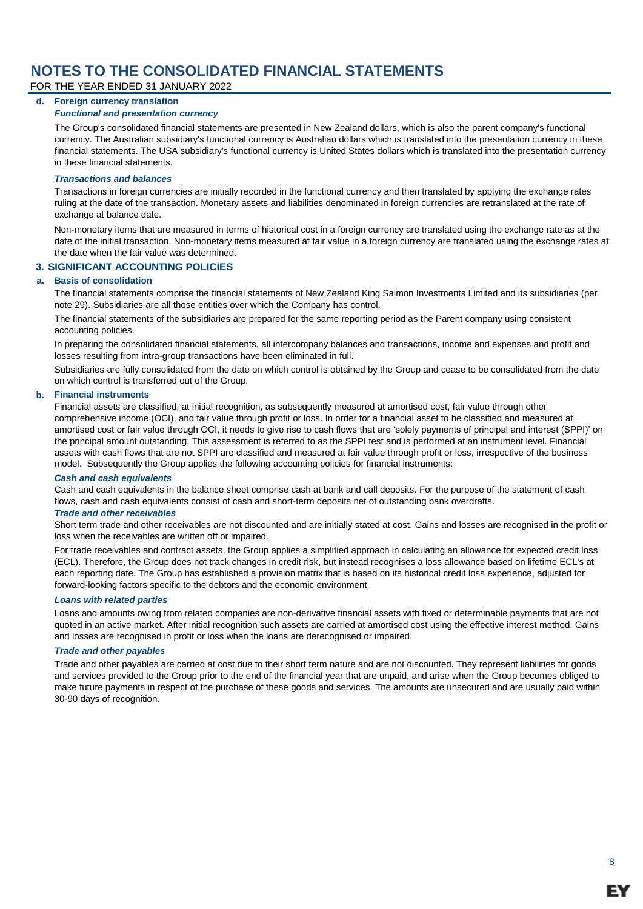FOR THE YEAR ENDED 31 JANUARY 2022

### **d. Foreign currency translation**

### *Functional and presentation currency*

The Group's consolidated financial statements are presented in New Zealand dollars, which is also the parent company's functional currency. The Australian subsidiary's functional currency is Australian dollars which is translated into the presentation currency in these financial statements. The USA subsidiary's functional currency is United States dollars which is translated into the presentation currency in these financial statements.

### *Transactions and balances*

Transactions in foreign currencies are initially recorded in the functional currency and then translated by applying the exchange rates ruling at the date of the transaction. Monetary assets and liabilities denominated in foreign currencies are retranslated at the rate of exchange at balance date.

Non-monetary items that are measured in terms of historical cost in a foreign currency are translated using the exchange rate as at the date of the initial transaction. Non-monetary items measured at fair value in a foreign currency are translated using the exchange rates at the date when the fair value was determined.

### **3. SIGNIFICANT ACCOUNTING POLICIES**

### **a. Basis of consolidation**

The financial statements comprise the financial statements of New Zealand King Salmon Investments Limited and its subsidiaries (per note 29). Subsidiaries are all those entities over which the Company has control.

The financial statements of the subsidiaries are prepared for the same reporting period as the Parent company using consistent accounting policies.

In preparing the consolidated financial statements, all intercompany balances and transactions, income and expenses and profit and losses resulting from intra-group transactions have been eliminated in full.

Subsidiaries are fully consolidated from the date on which control is obtained by the Group and cease to be consolidated from the date on which control is transferred out of the Group.

### **b. Financial instruments**

Financial assets are classified, at initial recognition, as subsequently measured at amortised cost, fair value through other comprehensive income (OCI), and fair value through profit or loss. In order for a financial asset to be classified and measured at amortised cost or fair value through OCI, it needs to give rise to cash flows that are 'solely payments of principal and interest (SPPI)' on the principal amount outstanding. This assessment is referred to as the SPPI test and is performed at an instrument level. Financial assets with cash flows that are not SPPI are classified and measured at fair value through profit or loss, irrespective of the business model. Subsequently the Group applies the following accounting policies for financial instruments:

### *Cash and cash equivalents*

Cash and cash equivalents in the balance sheet comprise cash at bank and call deposits. For the purpose of the statement of cash flows, cash and cash equivalents consist of cash and short-term deposits net of outstanding bank overdrafts.

#### *Trade and other receivables*

Short term trade and other receivables are not discounted and are initially stated at cost. Gains and losses are recognised in the profit or loss when the receivables are written off or impaired.

For trade receivables and contract assets, the Group applies a simplified approach in calculating an allowance for expected credit loss (ECL). Therefore, the Group does not track changes in credit risk, but instead recognises a loss allowance based on lifetime ECL's at each reporting date. The Group has established a provision matrix that is based on its historical credit loss experience, adjusted for forward-looking factors specific to the debtors and the economic environment.

### *Loans with related parties*

Loans and amounts owing from related companies are non-derivative financial assets with fixed or determinable payments that are not quoted in an active market. After initial recognition such assets are carried at amortised cost using the effective interest method. Gains and losses are recognised in profit or loss when the loans are derecognised or impaired.

#### *Trade and other payables*

Trade and other payables are carried at cost due to their short term nature and are not discounted. They represent liabilities for goods and services provided to the Group prior to the end of the financial year that are unpaid, and arise when the Group becomes obliged to make future payments in respect of the purchase of these goods and services. The amounts are unsecured and are usually paid within 30-90 days of recognition.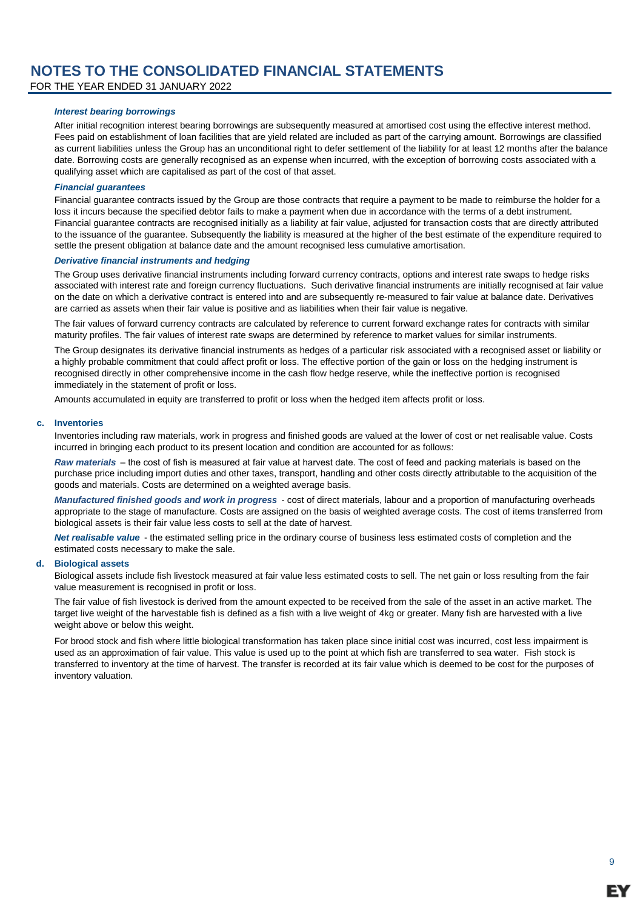FOR THE YEAR ENDED 31 JANUARY 2022

### *Interest bearing borrowings*

After initial recognition interest bearing borrowings are subsequently measured at amortised cost using the effective interest method. Fees paid on establishment of loan facilities that are yield related are included as part of the carrying amount. Borrowings are classified as current liabilities unless the Group has an unconditional right to defer settlement of the liability for at least 12 months after the balance date. Borrowing costs are generally recognised as an expense when incurred, with the exception of borrowing costs associated with a qualifying asset which are capitalised as part of the cost of that asset.

### *Financial guarantees*

Financial guarantee contracts issued by the Group are those contracts that require a payment to be made to reimburse the holder for a loss it incurs because the specified debtor fails to make a payment when due in accordance with the terms of a debt instrument. Financial guarantee contracts are recognised initially as a liability at fair value, adjusted for transaction costs that are directly attributed to the issuance of the guarantee. Subsequently the liability is measured at the higher of the best estimate of the expenditure required to settle the present obligation at balance date and the amount recognised less cumulative amortisation.

### *Derivative financial instruments and hedging*

The Group uses derivative financial instruments including forward currency contracts, options and interest rate swaps to hedge risks associated with interest rate and foreign currency fluctuations. Such derivative financial instruments are initially recognised at fair value on the date on which a derivative contract is entered into and are subsequently re-measured to fair value at balance date. Derivatives are carried as assets when their fair value is positive and as liabilities when their fair value is negative.

The fair values of forward currency contracts are calculated by reference to current forward exchange rates for contracts with similar maturity profiles. The fair values of interest rate swaps are determined by reference to market values for similar instruments.

The Group designates its derivative financial instruments as hedges of a particular risk associated with a recognised asset or liability or a highly probable commitment that could affect profit or loss. The effective portion of the gain or loss on the hedging instrument is recognised directly in other comprehensive income in the cash flow hedge reserve, while the ineffective portion is recognised immediately in the statement of profit or loss.

Amounts accumulated in equity are transferred to profit or loss when the hedged item affects profit or loss.

### **c. Inventories**

Inventories including raw materials, work in progress and finished goods are valued at the lower of cost or net realisable value. Costs incurred in bringing each product to its present location and condition are accounted for as follows:

*Raw materials* – the cost of fish is measured at fair value at harvest date. The cost of feed and packing materials is based on the purchase price including import duties and other taxes, transport, handling and other costs directly attributable to the acquisition of the goods and materials. Costs are determined on a weighted average basis.

*Manufactured finished goods and work in progress* - cost of direct materials, labour and a proportion of manufacturing overheads appropriate to the stage of manufacture. Costs are assigned on the basis of weighted average costs. The cost of items transferred from biological assets is their fair value less costs to sell at the date of harvest.

*Net realisable value* - the estimated selling price in the ordinary course of business less estimated costs of completion and the estimated costs necessary to make the sale.

### **d. Biological assets**

Biological assets include fish livestock measured at fair value less estimated costs to sell. The net gain or loss resulting from the fair value measurement is recognised in profit or loss.

The fair value of fish livestock is derived from the amount expected to be received from the sale of the asset in an active market. The target live weight of the harvestable fish is defined as a fish with a live weight of 4kg or greater. Many fish are harvested with a live weight above or below this weight.

For brood stock and fish where little biological transformation has taken place since initial cost was incurred, cost less impairment is used as an approximation of fair value. This value is used up to the point at which fish are transferred to sea water. Fish stock is transferred to inventory at the time of harvest. The transfer is recorded at its fair value which is deemed to be cost for the purposes of inventory valuation.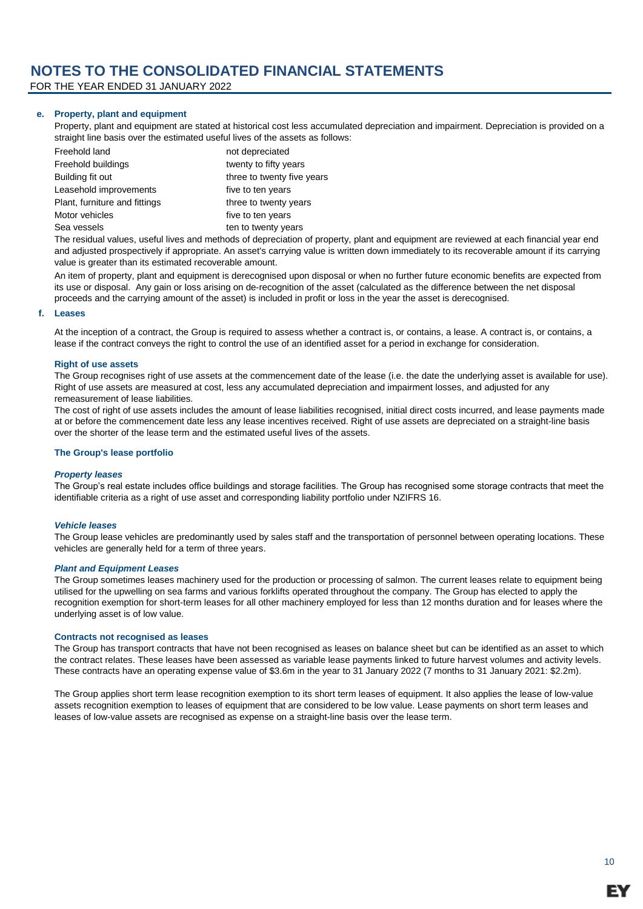FOR THE YEAR ENDED 31 JANUARY 2022

### **e. Property, plant and equipment**

Property, plant and equipment are stated at historical cost less accumulated depreciation and impairment. Depreciation is provided on a straight line basis over the estimated useful lives of the assets as follows:

| Freehold land                 | not depreciated            |
|-------------------------------|----------------------------|
| Freehold buildings            | twenty to fifty years      |
| Building fit out              | three to twenty five years |
| Leasehold improvements        | five to ten years          |
| Plant, furniture and fittings | three to twenty years      |
| Motor vehicles                | five to ten years          |
| Sea vessels                   | ten to twenty years        |

The residual values, useful lives and methods of depreciation of property, plant and equipment are reviewed at each financial year end and adjusted prospectively if appropriate. An asset's carrying value is written down immediately to its recoverable amount if its carrying value is greater than its estimated recoverable amount.

An item of property, plant and equipment is derecognised upon disposal or when no further future economic benefits are expected from its use or disposal. Any gain or loss arising on de-recognition of the asset (calculated as the difference between the net disposal proceeds and the carrying amount of the asset) is included in profit or loss in the year the asset is derecognised.

### **f. Leases**

At the inception of a contract, the Group is required to assess whether a contract is, or contains, a lease. A contract is, or contains, a lease if the contract conveys the right to control the use of an identified asset for a period in exchange for consideration.

### **Right of use assets**

The Group recognises right of use assets at the commencement date of the lease (i.e. the date the underlying asset is available for use). Right of use assets are measured at cost, less any accumulated depreciation and impairment losses, and adjusted for any remeasurement of lease liabilities.

The cost of right of use assets includes the amount of lease liabilities recognised, initial direct costs incurred, and lease payments made at or before the commencement date less any lease incentives received. Right of use assets are depreciated on a straight-line basis over the shorter of the lease term and the estimated useful lives of the assets.

#### **The Group's lease portfolio**

#### *Property leases*

The Group's real estate includes office buildings and storage facilities. The Group has recognised some storage contracts that meet the identifiable criteria as a right of use asset and corresponding liability portfolio under NZIFRS 16.

#### *Vehicle leases*

The Group lease vehicles are predominantly used by sales staff and the transportation of personnel between operating locations. These vehicles are generally held for a term of three years.

#### *Plant and Equipment Leases*

The Group sometimes leases machinery used for the production or processing of salmon. The current leases relate to equipment being utilised for the upwelling on sea farms and various forklifts operated throughout the company. The Group has elected to apply the recognition exemption for short-term leases for all other machinery employed for less than 12 months duration and for leases where the underlying asset is of low value.

#### **Contracts not recognised as leases**

The Group has transport contracts that have not been recognised as leases on balance sheet but can be identified as an asset to which the contract relates. These leases have been assessed as variable lease payments linked to future harvest volumes and activity levels. These contracts have an operating expense value of \$3.6m in the year to 31 January 2022 (7 months to 31 January 2021: \$2.2m).

The Group applies short term lease recognition exemption to its short term leases of equipment. It also applies the lease of low-value assets recognition exemption to leases of equipment that are considered to be low value. Lease payments on short term leases and leases of low-value assets are recognised as expense on a straight-line basis over the lease term.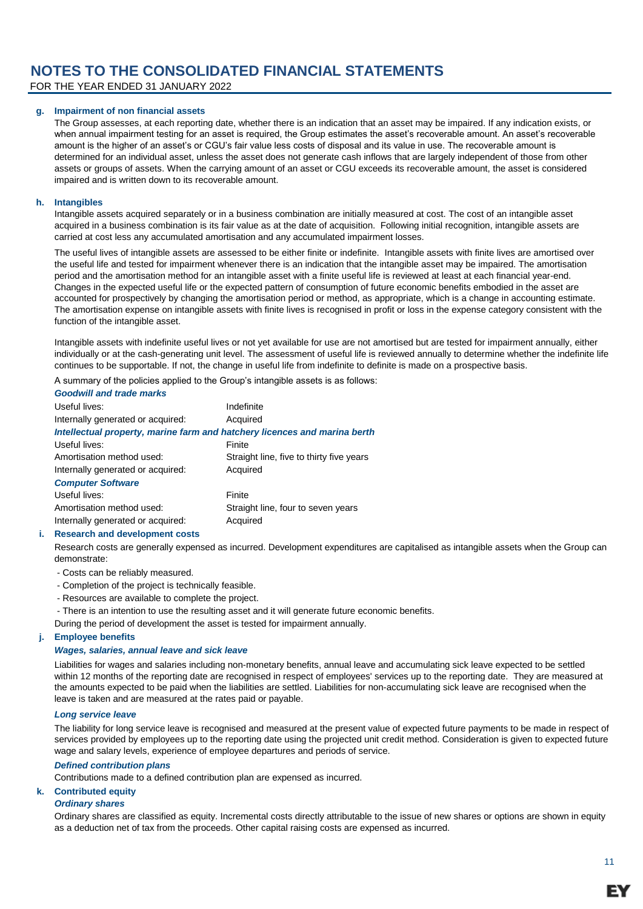FOR THE YEAR ENDED 31 JANUARY 2022

### **g. Impairment of non financial assets**

The Group assesses, at each reporting date, whether there is an indication that an asset may be impaired. If any indication exists, or when annual impairment testing for an asset is required, the Group estimates the asset's recoverable amount. An asset's recoverable amount is the higher of an asset's or CGU's fair value less costs of disposal and its value in use. The recoverable amount is determined for an individual asset, unless the asset does not generate cash inflows that are largely independent of those from other assets or groups of assets. When the carrying amount of an asset or CGU exceeds its recoverable amount, the asset is considered impaired and is written down to its recoverable amount.

#### **h. Intangibles**

Intangible assets acquired separately or in a business combination are initially measured at cost. The cost of an intangible asset acquired in a business combination is its fair value as at the date of acquisition. Following initial recognition, intangible assets are carried at cost less any accumulated amortisation and any accumulated impairment losses.

The useful lives of intangible assets are assessed to be either finite or indefinite. Intangible assets with finite lives are amortised over the useful life and tested for impairment whenever there is an indication that the intangible asset may be impaired. The amortisation period and the amortisation method for an intangible asset with a finite useful life is reviewed at least at each financial year-end. Changes in the expected useful life or the expected pattern of consumption of future economic benefits embodied in the asset are accounted for prospectively by changing the amortisation period or method, as appropriate, which is a change in accounting estimate. The amortisation expense on intangible assets with finite lives is recognised in profit or loss in the expense category consistent with the function of the intangible asset.

Intangible assets with indefinite useful lives or not yet available for use are not amortised but are tested for impairment annually, either individually or at the cash-generating unit level. The assessment of useful life is reviewed annually to determine whether the indefinite life continues to be supportable. If not, the change in useful life from indefinite to definite is made on a prospective basis.

A summary of the policies applied to the Group's intangible assets is as follows:

| <b>Goodwill and trade marks</b>                                           |                                          |
|---------------------------------------------------------------------------|------------------------------------------|
| Useful lives:                                                             | Indefinite                               |
| Internally generated or acquired:                                         | Acquired                                 |
| Intellectual property, marine farm and hatchery licences and marina berth |                                          |
| Useful lives:                                                             | Finite                                   |
| Amortisation method used:                                                 | Straight line, five to thirty five years |
| Internally generated or acquired:                                         | Acquired                                 |
| <b>Computer Software</b>                                                  |                                          |
| Useful lives:                                                             | Finite                                   |
| Amortisation method used:                                                 | Straight line, four to seven years       |
| Internally generated or acquired:                                         | Acquired                                 |

#### **i. Research and development costs**

Research costs are generally expensed as incurred. Development expenditures are capitalised as intangible assets when the Group can demonstrate:

- Costs can be reliably measured.
- Completion of the project is technically feasible.
- Resources are available to complete the project.
- There is an intention to use the resulting asset and it will generate future economic benefits.
- During the period of development the asset is tested for impairment annually.

#### **j. Employee benefits**

### *Wages, salaries, annual leave and sick leave*

Liabilities for wages and salaries including non-monetary benefits, annual leave and accumulating sick leave expected to be settled within 12 months of the reporting date are recognised in respect of employees' services up to the reporting date. They are measured at the amounts expected to be paid when the liabilities are settled. Liabilities for non-accumulating sick leave are recognised when the leave is taken and are measured at the rates paid or payable.

### *Long service leave*

The liability for long service leave is recognised and measured at the present value of expected future payments to be made in respect of services provided by employees up to the reporting date using the projected unit credit method. Consideration is given to expected future wage and salary levels, experience of employee departures and periods of service.

#### *Defined contribution plans*

Contributions made to a defined contribution plan are expensed as incurred.

### **k. Contributed equity**

#### *Ordinary shares*

Ordinary shares are classified as equity. Incremental costs directly attributable to the issue of new shares or options are shown in equity as a deduction net of tax from the proceeds. Other capital raising costs are expensed as incurred.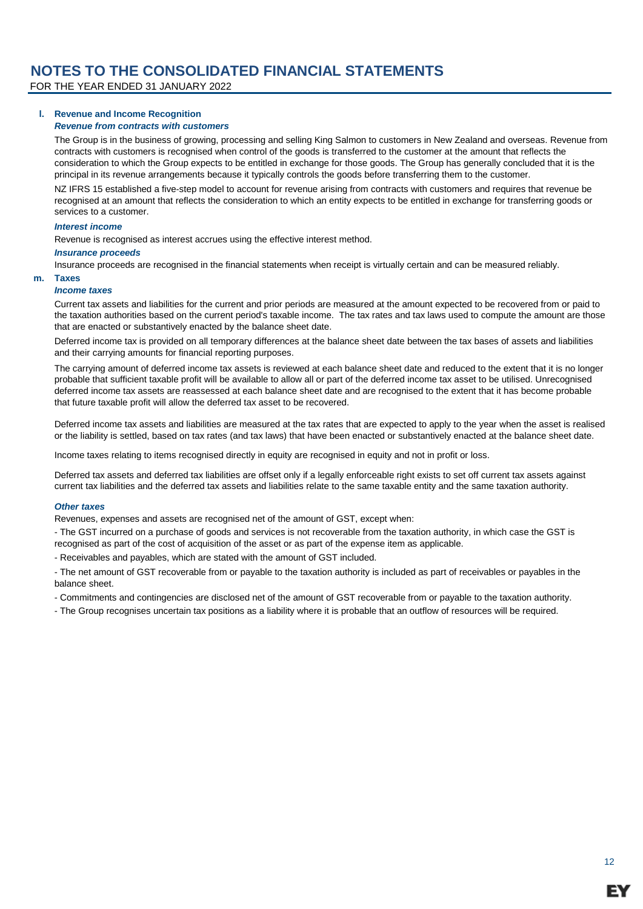FOR THE YEAR ENDED 31 JANUARY 2022

#### **l. Revenue and Income Recognition** *Revenue from contracts with customers*

The Group is in the business of growing, processing and selling King Salmon to customers in New Zealand and overseas. Revenue from contracts with customers is recognised when control of the goods is transferred to the customer at the amount that reflects the consideration to which the Group expects to be entitled in exchange for those goods. The Group has generally concluded that it is the principal in its revenue arrangements because it typically controls the goods before transferring them to the customer.

NZ IFRS 15 established a five-step model to account for revenue arising from contracts with customers and requires that revenue be recognised at an amount that reflects the consideration to which an entity expects to be entitled in exchange for transferring goods or services to a customer.

#### *Interest income*

Revenue is recognised as interest accrues using the effective interest method.

### *Insurance proceeds*

Insurance proceeds are recognised in the financial statements when receipt is virtually certain and can be measured reliably.

### **m. Taxes**

#### *Income taxes*

Current tax assets and liabilities for the current and prior periods are measured at the amount expected to be recovered from or paid to the taxation authorities based on the current period's taxable income. The tax rates and tax laws used to compute the amount are those that are enacted or substantively enacted by the balance sheet date.

Deferred income tax is provided on all temporary differences at the balance sheet date between the tax bases of assets and liabilities and their carrying amounts for financial reporting purposes.

The carrying amount of deferred income tax assets is reviewed at each balance sheet date and reduced to the extent that it is no longer probable that sufficient taxable profit will be available to allow all or part of the deferred income tax asset to be utilised. Unrecognised deferred income tax assets are reassessed at each balance sheet date and are recognised to the extent that it has become probable that future taxable profit will allow the deferred tax asset to be recovered.

Deferred income tax assets and liabilities are measured at the tax rates that are expected to apply to the year when the asset is realised or the liability is settled, based on tax rates (and tax laws) that have been enacted or substantively enacted at the balance sheet date.

Income taxes relating to items recognised directly in equity are recognised in equity and not in profit or loss.

Deferred tax assets and deferred tax liabilities are offset only if a legally enforceable right exists to set off current tax assets against current tax liabilities and the deferred tax assets and liabilities relate to the same taxable entity and the same taxation authority.

#### *Other taxes*

Revenues, expenses and assets are recognised net of the amount of GST, except when:

- The GST incurred on a purchase of goods and services is not recoverable from the taxation authority, in which case the GST is recognised as part of the cost of acquisition of the asset or as part of the expense item as applicable.

- Receivables and payables, which are stated with the amount of GST included.

- The net amount of GST recoverable from or payable to the taxation authority is included as part of receivables or payables in the balance sheet.

- Commitments and contingencies are disclosed net of the amount of GST recoverable from or payable to the taxation authority.

- The Group recognises uncertain tax positions as a liability where it is probable that an outflow of resources will be required.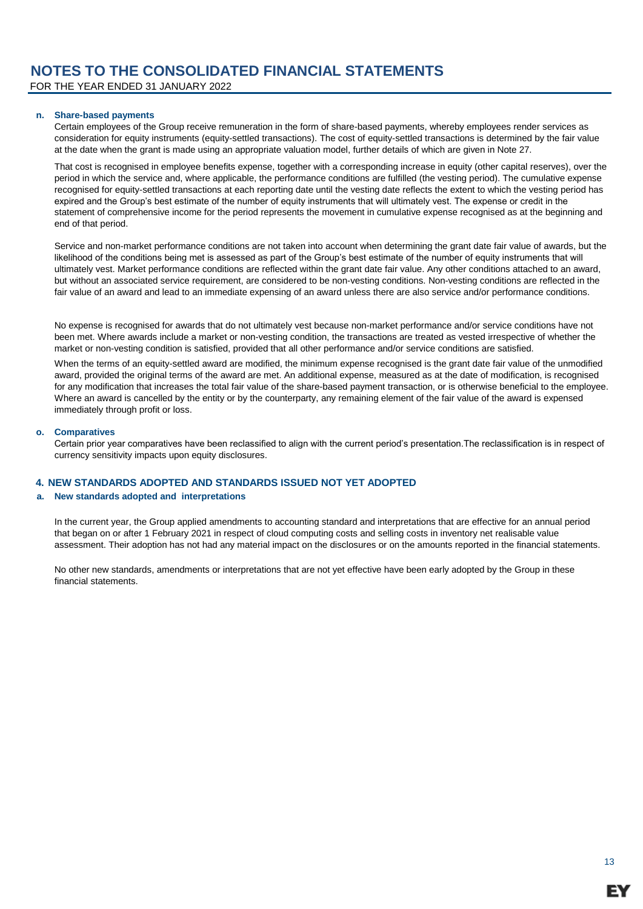FOR THE YEAR ENDED 31 JANUARY 2022

### **n. Share-based payments**

Certain employees of the Group receive remuneration in the form of share-based payments, whereby employees render services as consideration for equity instruments (equity-settled transactions). The cost of equity-settled transactions is determined by the fair value at the date when the grant is made using an appropriate valuation model, further details of which are given in Note 27.

That cost is recognised in employee benefits expense, together with a corresponding increase in equity (other capital reserves), over the period in which the service and, where applicable, the performance conditions are fulfilled (the vesting period). The cumulative expense recognised for equity-settled transactions at each reporting date until the vesting date reflects the extent to which the vesting period has expired and the Group's best estimate of the number of equity instruments that will ultimately vest. The expense or credit in the statement of comprehensive income for the period represents the movement in cumulative expense recognised as at the beginning and end of that period.

Service and non-market performance conditions are not taken into account when determining the grant date fair value of awards, but the likelihood of the conditions being met is assessed as part of the Group's best estimate of the number of equity instruments that will ultimately vest. Market performance conditions are reflected within the grant date fair value. Any other conditions attached to an award, but without an associated service requirement, are considered to be non-vesting conditions. Non-vesting conditions are reflected in the fair value of an award and lead to an immediate expensing of an award unless there are also service and/or performance conditions.

No expense is recognised for awards that do not ultimately vest because non-market performance and/or service conditions have not been met. Where awards include a market or non-vesting condition, the transactions are treated as vested irrespective of whether the market or non-vesting condition is satisfied, provided that all other performance and/or service conditions are satisfied.

When the terms of an equity-settled award are modified, the minimum expense recognised is the grant date fair value of the unmodified award, provided the original terms of the award are met. An additional expense, measured as at the date of modification, is recognised for any modification that increases the total fair value of the share-based payment transaction, or is otherwise beneficial to the employee. Where an award is cancelled by the entity or by the counterparty, any remaining element of the fair value of the award is expensed immediately through profit or loss.

### **o. Comparatives**

Certain prior year comparatives have been reclassified to align with the current period's presentation.The reclassification is in respect of currency sensitivity impacts upon equity disclosures.

### **4. NEW STANDARDS ADOPTED AND STANDARDS ISSUED NOT YET ADOPTED**

### **a. New standards adopted and interpretations**

In the current year, the Group applied amendments to accounting standard and interpretations that are effective for an annual period that began on or after 1 February 2021 in respect of cloud computing costs and selling costs in inventory net realisable value assessment. Their adoption has not had any material impact on the disclosures or on the amounts reported in the financial statements.

No other new standards, amendments or interpretations that are not yet effective have been early adopted by the Group in these financial statements.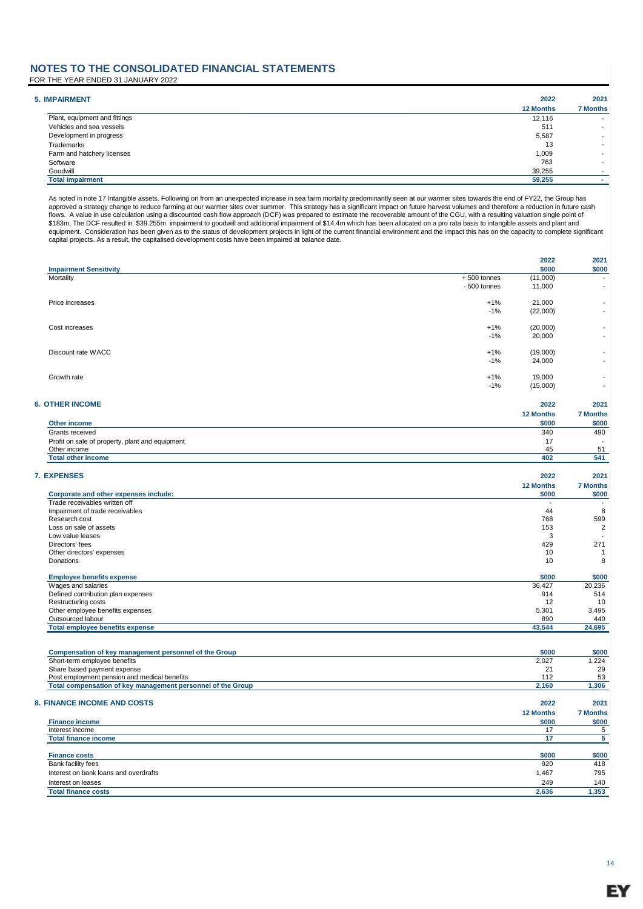FOR THE YEAR ENDED 31 JANUARY 2022

| <b>5. IMPAIRMENT</b>          | 2022             | 2021                     |
|-------------------------------|------------------|--------------------------|
|                               | <b>12 Months</b> | <b>7 Months</b>          |
| Plant, equipment and fittings | 12,116           | $\overline{\phantom{a}}$ |
| Vehicles and sea vessels      | 511              | $\overline{\phantom{a}}$ |
| Development in progress       | 5,587            | $\overline{\phantom{a}}$ |
| Trademarks                    | 13               | $\overline{\phantom{a}}$ |
| Farm and hatchery licenses    | 1,009            | $\overline{\phantom{a}}$ |
| Software                      | 763              | $\overline{\phantom{a}}$ |
| Goodwill                      | 39,255           |                          |
| <b>Total impairment</b>       | 59,255           |                          |

As noted in note 17 Intangible assets. Following on from an unexpected increase in sea farm mortality predominantly seen at our warmer sites towards the end of FY22, the Group has<br>approved a strategy change to reduce farmi flows. A value in use calculation using a discounted cash flow approach (DCF) was prepared to estimate the recoverable amount of the CGU, with a resulting valuation single point of \$183m. The DCF resulted in \$39.255m impairment to goodwill and additional impairment of \$14.4m which has been allocated on a pro rata basis to intangible assets and plant and<br>equipment. Consideration has been given as to

| <b>Impairment Sensitivity</b>                                               |               | 2022<br>\$000            | 2021<br>\$000   |
|-----------------------------------------------------------------------------|---------------|--------------------------|-----------------|
| Mortality                                                                   | $+500$ tonnes | (11,000)                 |                 |
|                                                                             | - 500 tonnes  | 11,000                   |                 |
| Price increases                                                             | $+1%$         | 21,000                   |                 |
|                                                                             | $-1%$         | (22,000)                 |                 |
| Cost increases                                                              | $+1%$         | (20,000)                 |                 |
|                                                                             | $-1%$         | 20,000                   |                 |
| Discount rate WACC                                                          | $+1%$         | (19,000)                 |                 |
|                                                                             | $-1%$         | 24,000                   |                 |
| Growth rate                                                                 | $+1%$         | 19,000                   |                 |
|                                                                             | $-1%$         | (15,000)                 |                 |
| <b>6. OTHER INCOME</b>                                                      |               | 2022                     | 2021            |
|                                                                             |               | 12 Months                | <b>7 Months</b> |
| Other income                                                                |               | \$000                    | \$000           |
| Grants received                                                             |               | 340                      | 490             |
| Profit on sale of property, plant and equipment                             |               | 17                       |                 |
| Other income                                                                |               | 45                       | 51              |
| <b>Total other income</b>                                                   |               | 402                      | 541             |
|                                                                             |               | 2022                     | 2021            |
| <b>7. EXPENSES</b>                                                          |               | 12 Months                | <b>7 Months</b> |
| Corporate and other expenses include:                                       |               | \$000                    | \$000           |
| Trade receivables written off                                               |               | $\overline{\phantom{a}}$ |                 |
| Impairment of trade receivables                                             |               | 44                       | 8               |
| Research cost                                                               |               | 768                      | 599             |
| Loss on sale of assets                                                      |               | 153                      | $\overline{2}$  |
| Low value leases                                                            |               | 3                        |                 |
| Directors' fees                                                             |               | 429                      | 271             |
| Other directors' expenses                                                   |               | 10                       | 1               |
| Donations                                                                   |               | 10                       | 8               |
| <b>Employee benefits expense</b>                                            |               | \$000                    | \$000           |
| Wages and salaries<br>Defined contribution plan expenses                    |               | 36,427<br>914            | 20,236<br>514   |
| Restructuring costs                                                         |               | 12                       | 10              |
| Other employee benefits expenses                                            |               | 5,301                    | 3,495           |
| Outsourced labour                                                           |               | 890                      | 440             |
| <b>Total employee benefits expense</b>                                      |               | 43,544                   | 24,695          |
|                                                                             |               |                          |                 |
| Compensation of key management personnel of the Group                       |               | \$000                    | \$000           |
| Short-term employee benefits                                                |               | 2,027                    | 1,224           |
| Share based payment expense<br>Post employment pension and medical benefits |               | 21<br>112                | 29<br>53        |
| Total compensation of key management personnel of the Group                 |               | 2,160                    | 1,306           |
|                                                                             |               |                          |                 |
| 8. FINANCE INCOME AND COSTS                                                 |               | 2022                     | 2021            |
|                                                                             |               | <b>12 Months</b>         | <b>7 Months</b> |
| <b>Finance income</b>                                                       |               | \$000                    | \$000           |
| Interest income                                                             |               | 17                       | 5               |
| <b>Total finance income</b>                                                 |               | 17                       | 5               |
| <b>Finance costs</b>                                                        |               | \$000                    | \$000           |
| Bank facility fees                                                          |               | 920                      | 418             |
|                                                                             |               |                          |                 |

| <b>Finance costs</b>                  | \$000 | \$00  |
|---------------------------------------|-------|-------|
| Bank facility fees                    | 920   | 418   |
| Interest on bank loans and overdrafts | 1,467 | 795   |
| Interest on leases                    | 249   | 140   |
| <b>Total finance costs</b>            | 2.636 | 1.353 |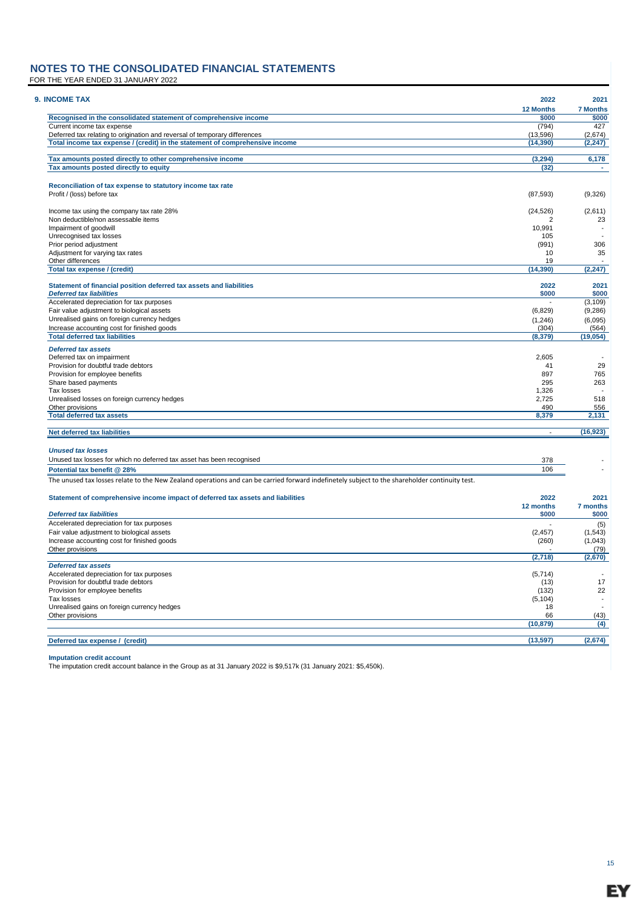FOR THE YEAR ENDED 31 JANUARY 2022

| 9. INCOME TAX                                                                                                                                  | 2022             | 2021                     |
|------------------------------------------------------------------------------------------------------------------------------------------------|------------------|--------------------------|
|                                                                                                                                                | <b>12 Months</b> | <b>7 Months</b>          |
| Recognised in the consolidated statement of comprehensive income                                                                               | \$000            | \$000                    |
| Current income tax expense                                                                                                                     | (794)            | 427                      |
| Deferred tax relating to origination and reversal of temporary differences                                                                     | (13, 596)        | (2,674)                  |
| Total income tax expense / (credit) in the statement of comprehensive income                                                                   | (14, 390)        | (2, 247)                 |
| Tax amounts posted directly to other comprehensive income                                                                                      | (3, 294)         | 6,178                    |
| Tax amounts posted directly to equity                                                                                                          | (32)             |                          |
|                                                                                                                                                |                  |                          |
| Reconciliation of tax expense to statutory income tax rate<br>Profit / (loss) before tax                                                       | (87, 593)        | (9,326)                  |
|                                                                                                                                                |                  |                          |
| Income tax using the company tax rate 28%                                                                                                      | (24, 526)        | (2,611)                  |
| Non deductible/non assessable items                                                                                                            | 2                | 23                       |
| Impairment of goodwill                                                                                                                         | 10,991           | $\overline{\phantom{a}}$ |
| Unrecognised tax losses                                                                                                                        | 105              |                          |
| Prior period adjustment                                                                                                                        | (991)            | 306                      |
| Adjustment for varying tax rates                                                                                                               | 10               | 35                       |
| Other differences<br>Total tax expense / (credit)                                                                                              | 19<br>(14, 390)  | (2, 247)                 |
|                                                                                                                                                |                  |                          |
| Statement of financial position deferred tax assets and liabilities                                                                            | 2022             | 2021                     |
| <b>Deferred tax liabilities</b>                                                                                                                | \$000            | \$000                    |
| Accelerated depreciation for tax purposes                                                                                                      |                  | (3, 109)                 |
| Fair value adjustment to biological assets                                                                                                     | (6,829)          | (9, 286)                 |
| Unrealised gains on foreign currency hedges                                                                                                    | (1, 246)         | (6,095)                  |
| Increase accounting cost for finished goods                                                                                                    | (304)            | (564)                    |
| <b>Total deferred tax liabilities</b>                                                                                                          | (8, 379)         | (19, 054)                |
| <b>Deferred tax assets</b>                                                                                                                     |                  |                          |
| Deferred tax on impairment                                                                                                                     | 2,605            |                          |
| Provision for doubtful trade debtors                                                                                                           | 41               | 29                       |
| Provision for employee benefits                                                                                                                | 897              | 765                      |
| Share based payments                                                                                                                           | 295              | 263                      |
| Tax losses                                                                                                                                     | 1,326            |                          |
| Unrealised losses on foreign currency hedges                                                                                                   | 2,725            | 518                      |
| Other provisions<br><b>Total deferred tax assets</b>                                                                                           | 490<br>8,379     | 556<br>2,131             |
|                                                                                                                                                |                  |                          |
| Net deferred tax liabilities                                                                                                                   |                  | (16, 923)                |
| <b>Unused tax losses</b>                                                                                                                       |                  |                          |
| Unused tax losses for which no deferred tax asset has been recognised                                                                          | 378              |                          |
| Potential tax benefit @ 28%                                                                                                                    | 106              |                          |
| The unused tax losses relate to the New Zealand operations and can be carried forward indefinetely subject to the shareholder continuity test. |                  |                          |
|                                                                                                                                                |                  |                          |
| Statement of comprehensive income impact of deferred tax assets and liabilities                                                                | 2022             | 2021                     |
|                                                                                                                                                | 12 months        | 7 months                 |
| <b>Deferred tax liabilities</b>                                                                                                                | \$000            | \$000                    |
| Accelerated depreciation for tax purposes                                                                                                      | $\overline{a}$   | (5)                      |
| Fair value adjustment to biological assets                                                                                                     | (2, 457)         | (1,543)                  |
| Increase accounting cost for finished goods                                                                                                    | (260)            | (1,043)                  |
| Other provisions                                                                                                                               | (2,718)          | (79)<br>(2,670)          |
| <b>Deferred tax assets</b>                                                                                                                     |                  |                          |
| Accelerated depreciation for tax purposes                                                                                                      | (5,714)          |                          |
| Provision for doubtful trade debtors                                                                                                           | (13)             | 17                       |
| Provision for employee benefits                                                                                                                | (132)            | 22                       |
| Tax losses                                                                                                                                     | (5, 104)         | $\overline{\phantom{a}}$ |
| Unrealised gains on foreign currency hedges                                                                                                    | 18               |                          |
| Other provisions                                                                                                                               | 66               | (43)                     |
|                                                                                                                                                | (10, 879)        | (4)                      |
| Deferred tax expense / (credit)                                                                                                                | (13, 597)        | (2,674)                  |
|                                                                                                                                                |                  |                          |

**Imputation credit account** The imputation credit account balance in the Group as at 31 January 2022 is \$9,517k (31 January 2021: \$5,450k).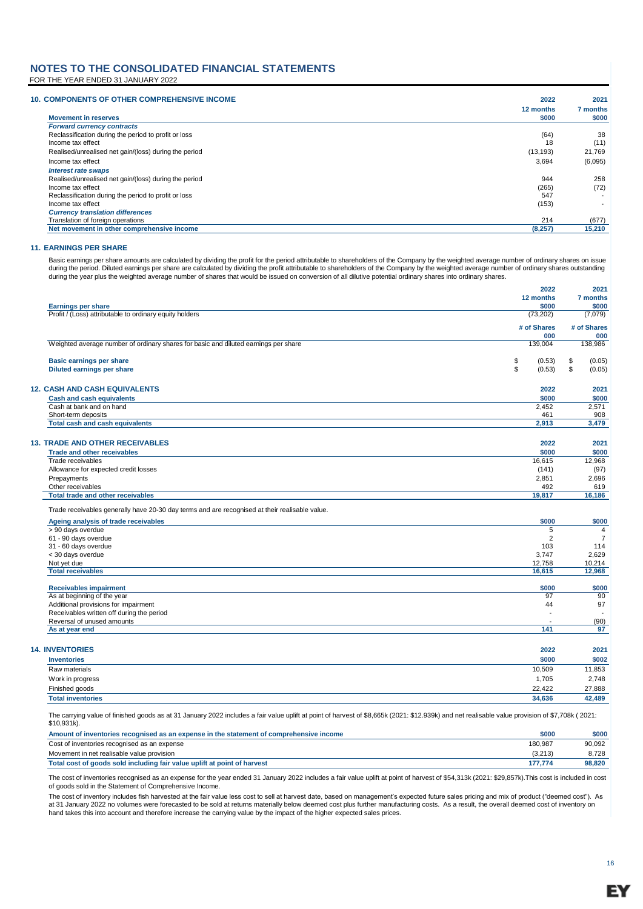#### **NOTES TO THE CONSOLIDATED FINANCIAL STATEMENTS** FOR THE YEAR ENDED 31 JANUARY 2022

| <b>10. COMPONENTS OF OTHER COMPREHENSIVE INCOME</b>   | 12 months | 7 months                 |
|-------------------------------------------------------|-----------|--------------------------|
| <b>Movement in reserves</b>                           | \$000     | \$000                    |
| <b>Forward currency contracts</b>                     |           |                          |
| Reclassification during the period to profit or loss  | (64)      | 38                       |
| Income tax effect                                     | 18        | (11)                     |
| Realised/unrealised net gain/(loss) during the period | (13, 193) | 21,769                   |
| Income tax effect                                     | 3,694     | (6,095)                  |
| <b>Interest rate swaps</b>                            |           |                          |
| Realised/unrealised net gain/(loss) during the period | 944       | 258                      |
| Income tax effect                                     | (265)     | (72)                     |
| Reclassification during the period to profit or loss  | 547       |                          |
| Income tax effect                                     | (153)     | $\overline{\phantom{a}}$ |
| <b>Currency translation differences</b>               |           |                          |
| Translation of foreign operations                     | 214       | (677)                    |
| Net movement in other comprehensive income            | (8,257)   | 15,210                   |

#### **11. EARNINGS PER SHARE**

Basic earnings per share amounts are calculated by dividing the profit for the period attributable to shareholders of the Company by the weighted average number of ordinary shares on issue during the period. Diluted earnings per share are calculated by dividing the profit attributable to shareholders of the Company by the weighted average number of ordinary shares outstanding during the year plus the weighted average number of shares that would be issued on conversion of all dilutive potential ordinary shares into ordinary shares.

|                                                                                                | 2022                    | 2021           |
|------------------------------------------------------------------------------------------------|-------------------------|----------------|
|                                                                                                | 12 months               | 7 months       |
| <b>Earnings per share</b>                                                                      | \$000                   | \$000          |
| Profit / (Loss) attributable to ordinary equity holders                                        | (73, 202)               | (7,079)        |
|                                                                                                | # of Shares             | # of Shares    |
|                                                                                                | 000                     | 000            |
| Weighted average number of ordinary shares for basic and diluted earnings per share            | 139,004                 | 138,986        |
| Basic earnings per share                                                                       | \$<br>(0.53)            | \$<br>(0.05)   |
| Diluted earnings per share                                                                     | \$<br>(0.53)            | \$<br>(0.05)   |
| <b>12. CASH AND CASH EQUIVALENTS</b>                                                           | 2022                    | 2021           |
| <b>Cash and cash equivalents</b>                                                               | \$000                   | \$000          |
| Cash at bank and on hand                                                                       | 2,452                   | 2,571          |
| Short-term deposits                                                                            | 461                     | 908            |
| <b>Total cash and cash equivalents</b>                                                         | 2,913                   | 3,479          |
|                                                                                                |                         |                |
| <b>13. TRADE AND OTHER RECEIVABLES</b>                                                         | 2022                    | 2021           |
| <b>Trade and other receivables</b>                                                             | \$000                   | \$000          |
| Trade receivables                                                                              | 16,615                  | 12,968         |
| Allowance for expected credit losses                                                           | (141)                   | (97)           |
| Prepayments                                                                                    | 2,851                   | 2,696          |
| Other receivables                                                                              | 492                     | 619            |
| <b>Total trade and other receivables</b>                                                       | 19,817                  | 16,186         |
| Trade receivables generally have 20-30 day terms and are recognised at their realisable value. |                         |                |
| Ageing analysis of trade receivables                                                           | \$000                   | \$000          |
| > 90 days overdue                                                                              | 5                       | $\overline{4}$ |
| 61 - 90 days overdue                                                                           | $\overline{\mathbf{c}}$ | $\overline{7}$ |
| 31 - 60 days overdue                                                                           | 103                     | 114            |
| < 30 days overdue                                                                              | 3,747                   | 2,629          |
| Not yet due                                                                                    | 12,758                  | 10,214         |
| <b>Total receivables</b>                                                                       | 16,615                  | 12,968         |
| <b>Receivables impairment</b>                                                                  | \$000                   | \$000          |
| As at beginning of the year                                                                    | 97                      | 90             |
| Additional provisions for impairment                                                           | 44                      | 97             |
| Receivables written off during the period                                                      | $\overline{a}$          |                |
| Reversal of unused amounts                                                                     |                         | (90)           |
| As at year end                                                                                 | 141                     | 97             |
| <b>14. INVENTORIES</b>                                                                         | 2022                    | 2021           |
| <b>Inventories</b>                                                                             | \$000                   | \$002          |
| Raw materials                                                                                  | 10,509                  | 11,853         |
| Work in progress                                                                               | 1,705                   | 2,748          |
| Finished goods                                                                                 | 22.422                  | 27,888         |
| <b>Total inventories</b>                                                                       | 34.636                  | 42,489         |
|                                                                                                |                         |                |

The carrying value of finished goods as at 31 January 2022 includes a fair value uplift at point of harvest of \$8,665k (2021: \$12.939k) and net realisable value provision of \$7,708k ( 2021: \$10,931k).

| Amount of inventories recognised as an expense in the statement of comprehensive income | \$000   | \$000  |
|-----------------------------------------------------------------------------------------|---------|--------|
| Cost of inventories recognised as an expense                                            | 180.987 | 90.092 |
| Movement in net realisable value provision                                              | (3.213) | 8.728  |
| Total cost of goods sold including fair value uplift at point of harvest                | 177.774 | 98,820 |

The cost of inventories recognised as an expense for the year ended 31 January 2022 includes a fair value uplift at point of harvest of \$54,313k (2021: \$29,857k).This cost is included in cost of goods sold in the Statement of Comprehensive Income.

The cost of inventory includes fish harvested at the fair value less cost to sell at harvest date, based on management's expected future sales pricing and mix of product ("deemed cost"). As at 31 January 2022 no volumes were forecasted to be sold at returns materially below deemed cost plus further manufacturing costs. As a result, the overall deemed cost of inventory on<br>hand takes this into account and there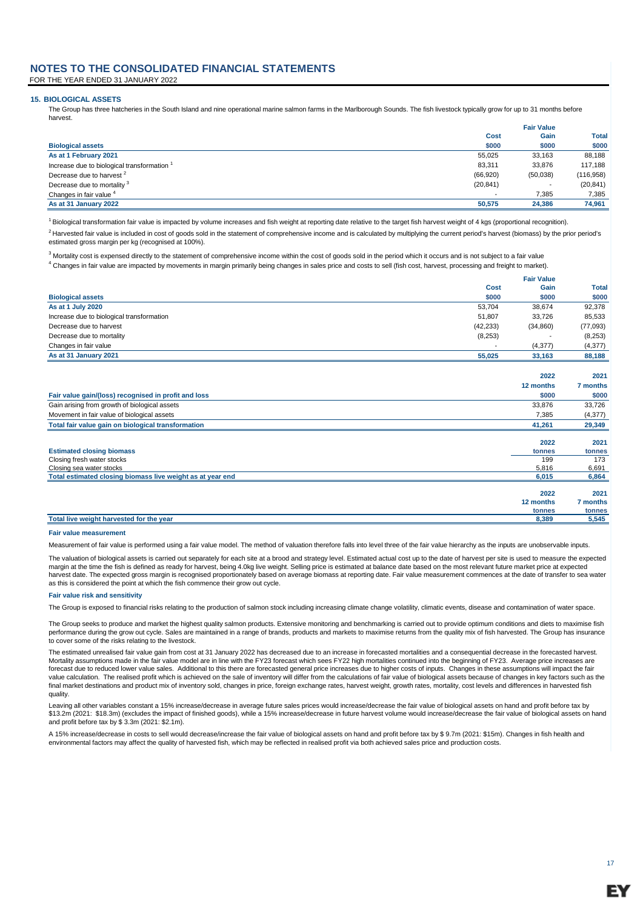FOR THE YEAR ENDED 31 JANUARY 2022

#### **15. BIOLOGICAL ASSETS**

The Group has three hatcheries in the South Island and nine operational marine salmon farms in the Marlborough Sounds. The fish livestock typically grow for up to 31 months before harvest.

|                                           |           | <b>Fair Value</b> |              |
|-------------------------------------------|-----------|-------------------|--------------|
|                                           | Cost      | Gain              | <b>Total</b> |
| <b>Biological assets</b>                  | \$000     | \$000             | \$000        |
| As at 1 February 2021                     | 55.025    | 33.163            | 88,188       |
| Increase due to biological transformation | 83.311    | 33.876            | 117,188      |
| Decrease due to harvest <sup>2</sup>      | (66, 920) | (50,038)          | (116, 958)   |
| Decrease due to mortality <sup>3</sup>    | (20, 841) |                   | (20, 841)    |
| Changes in fair value <sup>4</sup>        |           | 7.385             | 7.385        |
| As at 31 January 2022                     | 50.575    | 24.386            | 74.961       |

<sup>1</sup> Biological transformation fair value is impacted by volume increases and fish weight at reporting date relative to the target fish harvest weight of 4 kgs (proportional recognition).

 $^2$  Harvested fair value is included in cost of goods sold in the statement of comprehensive income and is calculated by multiplying the current period's harvest (biomass) by the prior period's estimated gross margin per kg (recognised at 100%).

 $^3$  Mortality cost is expensed directly to the statement of comprehensive income within the cost of goods sold in the period which it occurs and is not subject to a fair value <sup>4</sup> Changes in fair value are impacted by movements in margin primarily being changes in sales price and costs to sell (fish cost, harvest, processing and freight to market).

|                                           |           | <b>Fair Value</b>        |          |  |
|-------------------------------------------|-----------|--------------------------|----------|--|
|                                           | Cost      | Gain                     | Total    |  |
| <b>Biological assets</b>                  | \$000     | \$000                    | \$000    |  |
| As at 1 July 2020                         | 53.704    | 38.674                   | 92,378   |  |
| Increase due to biological transformation | 51.807    | 33.726                   | 85,533   |  |
| Decrease due to harvest                   | (42, 233) | (34, 860)                | (77,093) |  |
| Decrease due to mortality                 | (8,253)   | $\overline{\phantom{0}}$ | (8,253)  |  |
| Changes in fair value                     |           | (4, 377)                 | (4, 377) |  |
| As at 31 January 2021                     | 55.025    | 33.163                   | 88.188   |  |

|                                                            | 2022      | 2021     |
|------------------------------------------------------------|-----------|----------|
|                                                            | 12 months | 7 months |
| Fair value gain/(loss) recognised in profit and loss       | \$000     | \$000    |
| Gain arising from growth of biological assets              | 33,876    | 33,726   |
| Movement in fair value of biological assets                | 7,385     | (4,377)  |
| Total fair value gain on biological transformation         | 41,261    | 29,349   |
|                                                            |           |          |
|                                                            | 2022      | 2021     |
| <b>Estimated closing biomass</b>                           | tonnes    | tonnes   |
| Closing fresh water stocks                                 | 199       | 173      |
| Closing sea water stocks                                   | 5,816     | 6,691    |
| Total estimated closing biomass live weight as at year end | 6,015     | 6,864    |
|                                                            |           |          |
|                                                            | 2022      | 2021     |
|                                                            | 12 months | 7 months |
|                                                            | tonnes    | tonnes   |
| Total live weight harvested for the year                   | 8,389     | 5,545    |

#### **Fair value measurement**

Measurement of fair value is performed using a fair value model. The method of valuation therefore falls into level three of the fair value hierarchy as the inputs are unobservable inputs.

The valuation of biological assets is carried out separately for each site at a brood and strategy level. Estimated actual cost up to the date of harvest per site is used to measure the expected margin at the time the fish is defined as ready for harvest, being 4.0kg live weight. Selling price is estimated at balance date based on the most relevant future market price at expected harvest date. The expected gross margin is recognised proportionately based on average biomass at reporting date. Fair value measurement commences at the date of transfer to sea water as this is considered the point at which the fish commence their grow out cycle.

#### **Fair value risk and sensitivity**

The Group is exposed to financial risks relating to the production of salmon stock including increasing climate change volatility, climatic events, disease and contamination of water space.

The Group seeks to produce and market the highest quality salmon products. Extensive monitoring and benchmarking is carried out to provide optimum conditions and diets to maximise fish performance during the grow out cycle. Sales are maintained in a range of brands, products and markets to maximise returns from the quality mix of fish harvested. The Group has insurance to cover some of the risks relating to the livestock.

The estimated unrealised fair value gain from cost at 31 January 2022 has decreased due to an increase in forecasted mortalities and a consequential decrease in the forecasted harvest. Mortality assumptions made in the fair value model are in line with the FY23 forecast which sees FY22 high mortalities continued into the beginning of FY23. Average price increases are forecast due to reduced lower value sales. Additional to this there are forecasted general price increases due to higher costs of inputs. Changes in these assumptions will impact the fair value calculation. The realised profit which is achieved on the sale of inventory will differ from the calculations of fair value of biological assets because of changes in key factors such as the final market destinations and product mix of inventory sold, changes in price, foreign exchange rates, harvest weight, growth rates, mortality, cost levels and differences in harvested fish quality.

Leaving all other variables constant a 15% increase/decrease in average future sales prices would increase/decrease the fair value of biological assets on hand and profit before tax by \$13.2m (2021: \$18.3m) (excludes the impact of finished goods), while a 15% increase/decrease in future harvest volume would increase/decrease the fair value of biological assets on hand and profit before tax by \$ 3.3m (2021: \$2.1m).

A 15% increase/decrease in costs to sell would decrease/increase the fair value of biological assets on hand and profit before tax by \$ 9.7m (2021: \$15m). Changes in fish health and environmental factors may affect the quality of harvested fish, which may be reflected in realised profit via both achieved sales price and production costs.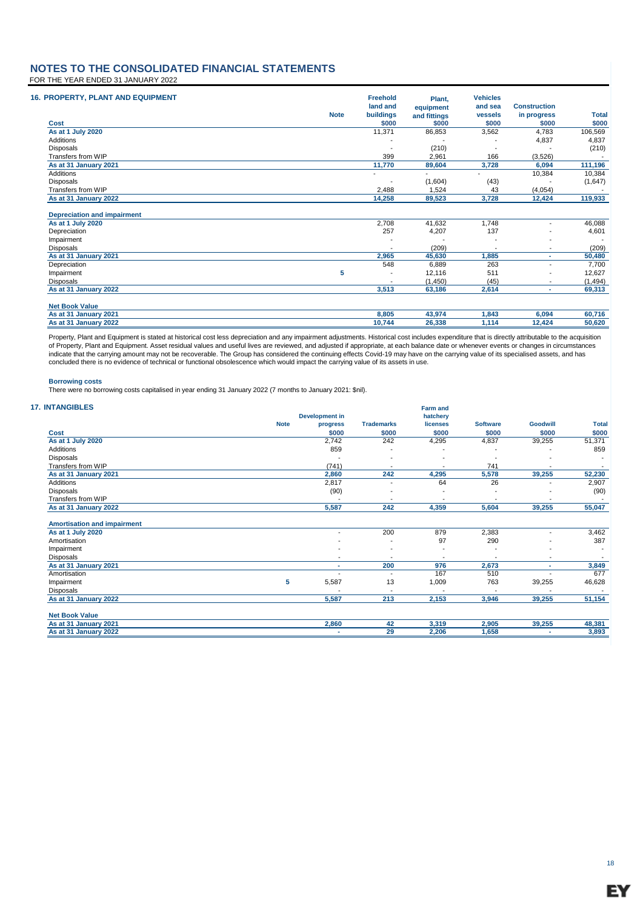### **NOTES TO THE CONSOLIDATED FINANCIAL STATEMENTS** FOR THE YEAR ENDED 31 JANUARY 2022

| <b>16. PROPERTY, PLANT AND EQUIPMENT</b>  |             | <b>Freehold</b><br>land and       | Plant.<br>equipment | <b>Vehicles</b><br>and sea | <b>Construction</b>      |                 |
|-------------------------------------------|-------------|-----------------------------------|---------------------|----------------------------|--------------------------|-----------------|
|                                           | <b>Note</b> | buildings                         | and fittings        | vessels                    | in progress              | <b>Total</b>    |
| Cost                                      |             | \$000                             | \$000               | \$000                      | \$000                    | \$000           |
| As at 1 July 2020                         |             | 11,371                            | 86,853              | 3,562                      | 4,783                    | 106,569         |
| Additions                                 |             |                                   |                     |                            | 4,837                    | 4,837           |
| <b>Disposals</b>                          |             |                                   | (210)               |                            |                          | (210)           |
| Transfers from WIP                        |             | 399                               | 2,961               | 166                        | (3,526)                  |                 |
| As at 31 January 2021                     |             | 11,770                            | 89,604              | 3,728                      | 6,094                    | 111,196         |
| Additions                                 |             | $\overline{\phantom{a}}$          |                     |                            | 10,384                   | 10,384          |
| Disposals                                 |             |                                   | (1,604)             | (43)                       |                          | (1,647)         |
| Transfers from WIP                        |             | 2,488                             | 1,524               | 43                         | (4,054)                  |                 |
| As at 31 January 2022                     |             | 14,258                            | 89,523              | 3,728                      | 12,424                   | 119,933         |
| <b>Depreciation and impairment</b>        |             | 2,708                             | 41,632              | 1,748                      |                          |                 |
| As at 1 July 2020                         |             |                                   |                     |                            | $\blacksquare$           | 46,088          |
| Depreciation                              |             | 257                               | 4,207               | 137                        |                          | 4,601           |
| Impairment                                |             |                                   |                     |                            |                          |                 |
| <b>Disposals</b><br>As at 31 January 2021 |             | $\overline{\phantom{a}}$<br>2,965 | (209)<br>45,630     | 1,885                      | $\overline{\phantom{a}}$ | (209)<br>50,480 |
| Depreciation                              |             | 548                               | 6,889               | 263                        |                          | 7,700           |
|                                           | 5           |                                   |                     | 511                        |                          |                 |
| Impairment                                |             | $\overline{\phantom{a}}$          | 12,116              |                            |                          | 12,627          |
| <b>Disposals</b>                          |             |                                   | (1,450)             | (45)                       | $\overline{\phantom{a}}$ | (1, 494)        |
| As at 31 January 2022                     |             | 3,513                             | 63,186              | 2,614                      | ٠                        | 69,313          |
| <b>Net Book Value</b>                     |             |                                   |                     |                            |                          |                 |
| As at 31 January 2021                     |             | 8,805                             | 43,974              | 1,843                      | 6,094                    | 60,716          |
| As at 31 January 2022                     |             | 10,744                            | 26,338              | 1,114                      | 12,424                   | 50,620          |

Property, Plant and Equipment is stated at historical cost less depreciation and any impairment adjustments. Historical cost includes expenditure that is directly attributable to the acquisition<br>of Property, Plant and Equi concluded there is no evidence of technical or functional obsolescence which would impact the carrying value of its assets in use.

#### **Borrowing costs**

**17.** 

There were no borrowing costs capitalised in year ending 31 January 2022 (7 months to January 2021: \$nil).

| <b>INTANGIBLES</b>                 |             |                          |                   | <b>Farm and</b> |                 |                 |              |
|------------------------------------|-------------|--------------------------|-------------------|-----------------|-----------------|-----------------|--------------|
|                                    |             | <b>Development in</b>    |                   | hatchery        |                 |                 |              |
|                                    | <b>Note</b> | progress                 | <b>Trademarks</b> | licenses        | <b>Software</b> | <b>Goodwill</b> | <b>Total</b> |
| Cost                               |             | \$000                    | \$000             | \$000           | \$000           | \$000           | \$000        |
| As at 1 July 2020                  |             | 2,742                    | 242               | 4,295           | 4,837           | 39,255          | 51,371       |
| Additions                          |             | 859                      |                   |                 |                 |                 | 859          |
| Disposals                          |             |                          |                   |                 |                 |                 |              |
| Transfers from WIP                 |             | (741)                    |                   |                 | 741             |                 |              |
| As at 31 January 2021              |             | 2,860                    | 242               | 4,295           | 5,578           | 39,255          | 52,230       |
| Additions                          |             | 2,817                    |                   | 64              | 26              |                 | 2,907        |
| Disposals                          |             | (90)                     |                   |                 |                 |                 | (90)         |
| Transfers from WIP                 |             |                          |                   |                 |                 |                 |              |
| As at 31 January 2022              |             | 5,587                    | 242               | 4,359           | 5,604           | 39,255          | 55,047       |
| <b>Amortisation and impairment</b> |             |                          |                   |                 |                 |                 |              |
| As at 1 July 2020                  |             |                          | 200               | 879             | 2,383           |                 | 3,462        |
| Amortisation                       |             |                          |                   | 97              | 290             |                 | 387          |
| Impairment                         |             |                          |                   |                 |                 |                 |              |
| Disposals                          |             | $\overline{\phantom{a}}$ |                   |                 |                 | $\blacksquare$  |              |
| As at 31 January 2021              |             | ٠                        | 200               | 976             | 2,673           |                 | 3,849        |
| Amortisation                       |             |                          |                   | 167             | 510             |                 | 677          |
| Impairment                         | 5           | 5,587                    | 13                | 1,009           | 763             | 39,255          | 46,628       |
| Disposals                          |             |                          |                   |                 |                 |                 |              |
| As at 31 January 2022              |             | 5,587                    | 213               | 2,153           | 3,946           | 39,255          | 51,154       |
| <b>Net Book Value</b>              |             |                          |                   |                 |                 |                 |              |
| As at 31 January 2021              |             | 2,860                    | 42                | 3,319           | 2,905           | 39,255          | 48,381       |
| As at 31 January 2022              |             |                          | 29                | 2,206           | 1,658           |                 | 3,893        |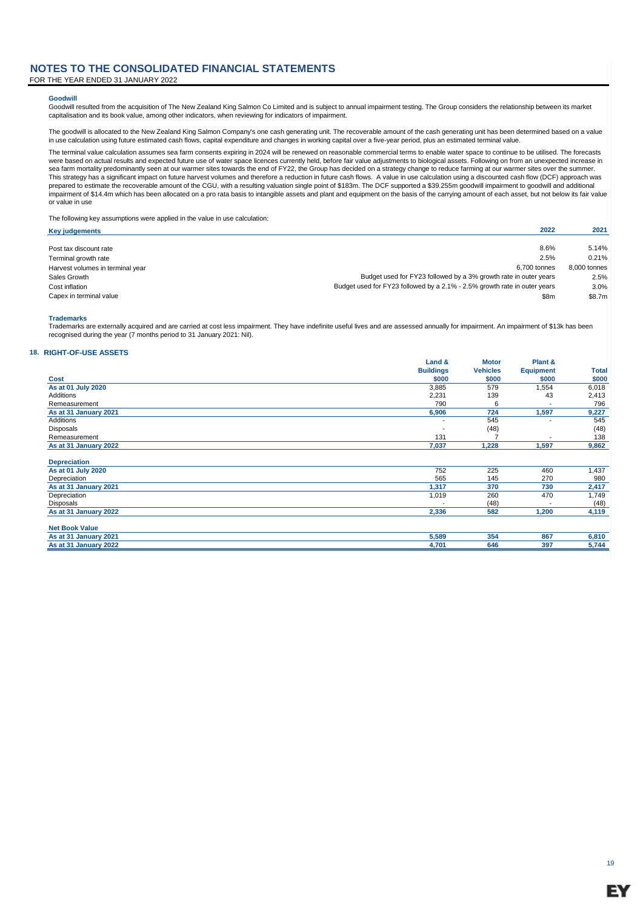FOR THE YEAR ENDED 31 JANUARY 2022

#### **Goodwill**

Goodwill resulted from the acquisition of The New Zealand King Salmon Co Limited and is subject to annual impairment testing. The Group considers the relationship between its market capitalisation and its book value, among other indicators, when reviewing for indicators of impairment.

The goodwill is allocated to the New Zealand King Salmon Company's one cash generating unit. The recoverable amount of the cash generating unit has been determined based on a value<br>in use calculation using future estimated

The terminal value calculation assumes sea farm consents expiring in 2024 will be renewed on reasonable commercial terms to enable water space to continue to be utilised. The forecasts were based on actual results and expected future use of water space licences currently held, before fair value adjustments to biological assets. Following on from an unexpected increase in sea farm mortality predominantly seen at our warmer sites towards the end of FY22, the Group has decided on a strategy change to reduce farming at our warmer sites over the summer. This strategy has a significant impact on future harvest volumes and therefore a reduction in future cash flows. A value in use calculation using a discounted cash flow (DCF) approach was<br>prepared to estimate the recoverab impairment of \$14.4m which has been allocated on a pro rata basis to intangible assets and plant and equipment on the basis of the carrying amount of each asset, but not below its fair value or value in use

The following key assumptions were applied in the value in use calculation:

| Key judgements                   | 2022                                                                      | 2021         |
|----------------------------------|---------------------------------------------------------------------------|--------------|
|                                  |                                                                           |              |
| Post tax discount rate           | 8.6%                                                                      | 5.14%        |
| Terminal growth rate             | 2.5%                                                                      | 0.21%        |
| Harvest volumes in terminal year | 6.700 tonnes                                                              | 8.000 tonnes |
| Sales Growth                     | Budget used for FY23 followed by a 3% growth rate in outer years          | 2.5%         |
| Cost inflation                   | Budget used for FY23 followed by a 2.1% - 2.5% growth rate in outer years | 3.0%         |
| Capex in terminal value          | \$8m                                                                      | \$8.7m       |

#### **Trademarks**

Trademarks are externally acquired and are carried at cost less impairment. They have indefinite useful lives and are assessed annually for impairment. An impairment of \$13k has been recognised during the year (7 months period to 31 January 2021: Nil).

#### **18. RIGHT-OF-USE ASSETS**

|                       | Land &                   | <b>Motor</b>    | Plant &          |       |
|-----------------------|--------------------------|-----------------|------------------|-------|
|                       | <b>Buildings</b>         | <b>Vehicles</b> | <b>Equipment</b> | Total |
| Cost                  | \$000                    | \$000           | \$000            | \$000 |
| As at 01 July 2020    | 3,885                    | 579             | 1,554            | 6,018 |
| <b>Additions</b>      | 2,231                    | 139             | 43               | 2,413 |
| Remeasurement         | 790                      | 6               |                  | 796   |
| As at 31 January 2021 | 6,906                    | 724             | 1,597            | 9,227 |
| <b>Additions</b>      | $\overline{\phantom{a}}$ | 545             |                  | 545   |
| <b>Disposals</b>      |                          | (48)            |                  | (48)  |
| Remeasurement         | 131                      |                 |                  | 138   |
| As at 31 January 2022 | 7,037                    | 1,228           | 1,597            | 9,862 |
|                       |                          |                 |                  |       |
| <b>Depreciation</b>   |                          |                 |                  |       |
| As at 01 July 2020    | 752                      | 225             | 460              | 1,437 |
| Depreciation          | 565                      | 145             | 270              | 980   |
| As at 31 January 2021 | 1,317                    | 370             | 730              | 2,417 |
| Depreciation          | 1,019                    | 260             | 470              | 1,749 |
| Disposals             |                          | (48)            |                  | (48)  |
| As at 31 January 2022 | 2,336                    | 582             | 1,200            | 4,119 |
|                       |                          |                 |                  |       |
| <b>Net Book Value</b> |                          |                 |                  |       |
| As at 31 January 2021 | 5,589                    | 354             | 867              | 6,810 |
| As at 31 January 2022 | 4,701                    | 646             | 397              | 5,744 |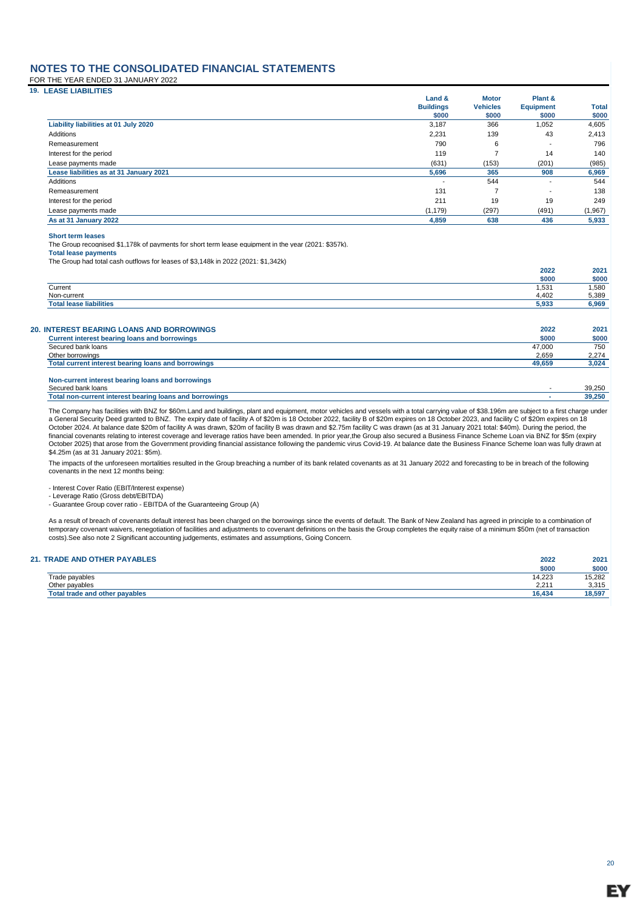FOR THE YEAR ENDED 31 JANUARY 2022

| <b>19. LEASE LIABILITIES</b>            |                  |                 |                           |              |
|-----------------------------------------|------------------|-----------------|---------------------------|--------------|
|                                         | Land &           | <b>Motor</b>    | Plant &                   |              |
|                                         | <b>Buildings</b> | <b>Vehicles</b> | <b>Equipment</b><br>\$000 | <b>Total</b> |
|                                         | \$000            | \$000           |                           | \$000        |
| Liability liabilities at 01 July 2020   | 3,187            | 366             | 1,052                     | 4,605        |
| Additions                               | 2,231            | 139             | 43                        | 2,413        |
| Remeasurement                           | 790              | 6               |                           | 796          |
| Interest for the period                 | 119              |                 | 14                        | 140          |
| Lease payments made                     | (631)            | (153)           | (201)                     | (985)        |
| Lease liabilities as at 31 January 2021 | 5,696            | 365             | 908                       | 6,969        |
| Additions                               |                  | 544             |                           | 544          |
| Remeasurement                           | 131              |                 | ۰                         | 138          |
| Interest for the period                 | 211              | 19              | 19                        | 249          |
| Lease payments made                     | (1, 179)         | (297)           | (491)                     | (1, 967)     |
| As at 31 January 2022                   | 4,859            | 638             | 436                       | 5,933        |

**Short term leases**

The Group recognised \$1,178k of payments for short term lease equipment in the year (2021: \$357k).

**Total lease payments** The Group had total cash outflows for leases of \$3,148k in 2022 (2021: \$1,342k)

|                                                                                                          | 2022          | 2021          |
|----------------------------------------------------------------------------------------------------------|---------------|---------------|
|                                                                                                          | \$000         | \$000         |
| Current                                                                                                  | 1,531         | 1,580         |
| Non-current                                                                                              | 4,402         | 5,389         |
| <b>Total lease liabilities</b>                                                                           | 5,933         | 6,969         |
| <b>20. INTEREST BEARING LOANS AND BORROWINGS</b><br><b>Current interest bearing loans and borrowings</b> | 2022<br>\$000 | 2021<br>\$000 |
|                                                                                                          |               |               |
| Secured bank loans                                                                                       | 47.000        | 750           |
| Other borrowings                                                                                         | 2.659         | 2,274         |
| Total current interest bearing loans and borrowings                                                      | 49,659        | 3,024         |

| Non-current interest bearing loans and borrowings       |        |
|---------------------------------------------------------|--------|
| Secured bank loans                                      | 39.250 |
| Total non-current interest bearing loans and borrowings | 39.250 |
|                                                         |        |

The Company has facilities with BNZ for \$60m.Land and buildings, plant and equipment, motor vehicles and vessels with a total carrying value of \$38.196m are subject to a first charge under<br>a General Security Deed granted t financial covenants relating to interest coverage and leverage ratios have been amended. In prior year,the Group also secured a Business Finance Scheme Loan via BNZ for \$5m (expiry October 2025) that arose from the Government providing financial assistance following the pandemic virus Covid-19. At balance date the Business Finance Scheme loan was fully drawn at \$4.25m (as at 31 January 2021: \$5m).

The impacts of the unforeseen mortalities resulted in the Group breaching a number of its bank related covenants as at 31 January 2022 and forecasting to be in breach of the following covenants in the next 12 months being:

- Interest Cover Ratio (EBIT/Interest expense)

- Leverage Ratio (Gross debt/EBITDA)

- Guarantee Group cover ratio - EBITDA of the Guaranteeing Group (A)

As a result of breach of covenants default interest has been charged on the borrowings since the events of default. The Bank of New Zealand has agreed in principle to a combination of temporary covenant waivers, renegotiation of facilities and adjustments to covenant definitions on the basis the Group completes the equity raise of a minimum \$50m (net of transaction costs).See also note 2 Significant accounting judgements, estimates and assumptions, Going Concern.

#### **21. TRADE AND OTHER PAYABLES 2022 2021**

|                                     | \$000       | \$000  |
|-------------------------------------|-------------|--------|
| Trade payables                      | 14,223      | 15,282 |
| Other payables                      | 0.01<br>2.2 | 3,315  |
| I trade and other payables<br>™otai | 16,434      | 18,597 |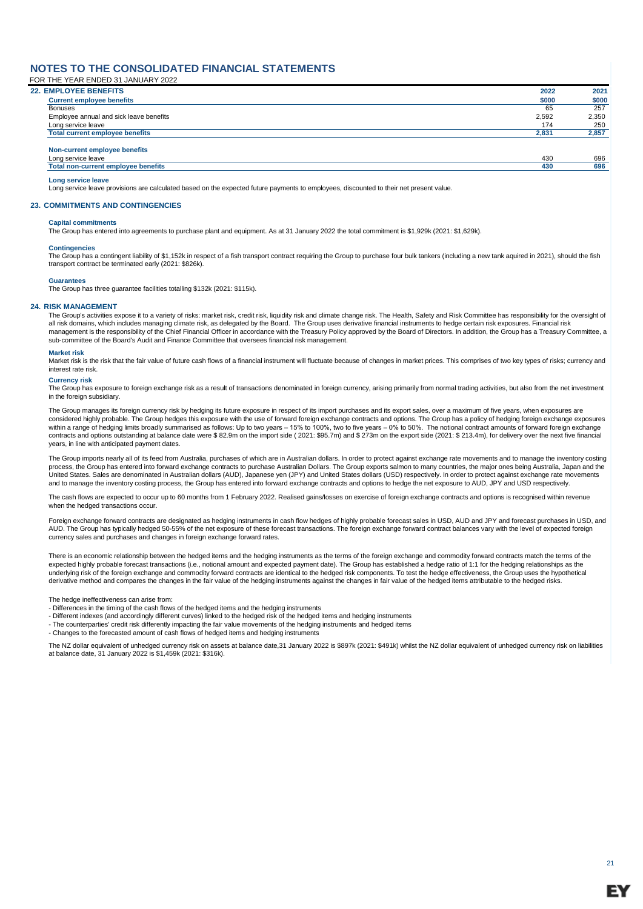FOR THE YEAR ENDED 31 JANUARY 2022

| <b>22. EMPLOYEE BENEFITS</b>               | 2022  | 2021  |
|--------------------------------------------|-------|-------|
| <b>Current employee benefits</b>           | \$000 | \$000 |
| Bonuses                                    | 65    | 257   |
| Employee annual and sick leave benefits    | 2.592 | 2,350 |
| Long service leave                         | 174   | 250   |
| <b>Total current employee benefits</b>     | 2,831 | 2,857 |
| Non-current employee benefits              |       |       |
| Long service leave                         | 430   | 696   |
| <b>Total non-current employee benefits</b> | 430   | 696   |

**Long service leave**

Long service leave provisions are calculated based on the expected future payments to employees, discounted to their net present value.

#### **23. COMMITMENTS AND CONTINGENCIES**

#### **Capital commitments**

The Group has entered into agreements to purchase plant and equipment. As at 31 January 2022 the total commitment is \$1,929k (2021: \$1,629k).

#### **Contingencies**

The Group has a contingent liability of \$1,152k in respect of a fish transport contract requiring the Group to purchase four bulk tankers (including a new tank aquired in 2021), should the fish transport contract be terminated early (2021: \$826k).

#### **Guarantees**

The Group has three guarantee facilities totalling \$132k (2021: \$115k).

#### **24. RISK MANAGEMENT**

The Group's activities expose it to a variety of risks: market risk, credit risk, liquidity risk and climate change risk. The Health, Safety and Risk Committee has responsibility for the oversight of all risk domains, which includes managing climate risk, as delegated by the Board. The Group uses derivative financial instruments to hedge certain risk exposures. Financial risk management is the responsibility of the Chief Financial Officer in accordance with the Treasury Policy approved by the Board of Directors. In addition, the Group has a Treasury Committee, a sub-committee of the Board's Audit and Finance Committee that oversees financial risk management.

#### **Market risk**

Market risk is the risk that the fair value of future cash flows of a financial instrument will fluctuate because of changes in market prices. This comprises of two key types of risks; currency and interest rate risk.

#### **Currency risk**

The Group has exposure to foreign exchange risk as a result of transactions denominated in foreign currency, arising primarily from normal trading activities, but also from the net investment in the foreign subsidiary.

The Group manages its foreign currency risk by hedging its future exposure in respect of its import purchases and its export sales, over a maximum of five years, when exposures are considered highly probable. The Group hedges this exposure with the use of forward foreign exchange contracts and options. The Group has a policy of hedging foreign exchange exposures within a range of hedging limits broadly summarised as follows: Up to two years – 15% to 100%, two to five years – 0% to 50%. The notional contract amounts of forward foreign exchange contracts and options outstanding at balance date were \$ 82.9m on the import side (2021: \$95.7m) and \$ 273m on the export side (2021: \$ 213.4m), for delivery over the next five financial years, in line with anticipated payment dates.

The Group imports nearly all of its feed from Australia, purchases of which are in Australian dollars. In order to protect against exchange rate movements and to manage the inventory costing process, the Group has entered into forward exchange contracts to purchase Australian Dollars. The Group exports salmon to many countries, the major ones being Australia, Japan and the United States. Sales are denominated in Australian dollars (AUD), Japanese yen (JPY) and United States dollars (USD) respectively. In order to protect against exchange rate movements and to manage the inventory costing process, the Group has entered into forward exchange contracts and options to hedge the net exposure to AUD, JPY and USD respectively.

The cash flows are expected to occur up to 60 months from 1 February 2022. Realised gains/losses on exercise of foreign exchange contracts and options is recognised within revenue when the hedged transactions occur.

Foreign exchange forward contracts are designated as hedging instruments in cash flow hedges of highly probable forecast sales in USD, AUD and JPY and forecast purchases in USD, and AUD. The Group has typically hedged 50-55% of the net exposure of these forecast transactions. The foreign exchange forward contract balances vary with the level of expected foreign currency sales and purchases and changes in foreign exchange forward rates.

There is an economic relationship between the hedged items and the hedging instruments as the terms of the foreign exchange and commodity forward contracts match the terms of the expected highly probable forecast transactions (i.e., notional amount and expected payment date). The Group has established a hedge ratio of 1:1 for the hedging relationships as the spected head the stablished a hedge rati underlying risk of the foreign exchange and commodity forward contracts are identical to the hedged risk components. To test the hedge effectiveness, the Group uses the hypothetical derivative method and compares the changes in the fair value of the hedging instruments against the changes in fair value of the hedged items attributable to the hedged risk

The hedge ineffectiveness can arise from:

- Differences in the timing of the cash flows of the hedged items and the hedging instruments

- Different indexes (and accordingly different curves) linked to the hedged risk of the hedged items and hedging instruments

- The counterparties' credit risk differently impacting the fair value movements of the hedging instruments and hedged items
- Changes to the forecasted amount of cash flows of hedged items and hedging instruments

The NZ dollar equivalent of unhedged currency risk on assets at balance date,31 January 2022 is \$897k (2021: \$491k) whilst the NZ dollar equivalent of unhedged currency risk on liabilities at balance date, 31 January 2022 is \$1,459k (2021: \$316k).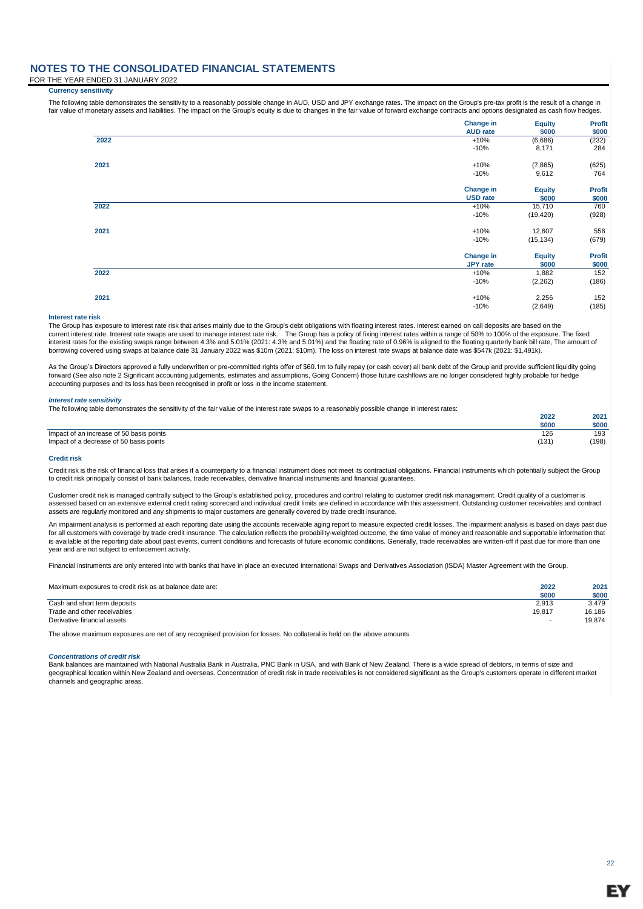FOR THE YEAR ENDED 31 JANUARY 2022

#### **Currency sensitivity**

The following table demonstrates the sensitivity to a reasonably possible change in AUD, USD and JPY exchange rates. The impact on the Group's pre-tax profit is the result of a change in fair value of monetary assets and liabilities. The impact on the Group's equity is due to changes in the fair value of forward exchange contracts and options designated as cash flow hedges.

|      | Change in<br><b>AUD</b> rate | <b>Equity</b><br>\$000 | <b>Profit</b><br>\$000 |
|------|------------------------------|------------------------|------------------------|
| 2022 | $+10%$                       | (6,686)                | (232)                  |
|      | $-10%$                       | 8,171                  | 284                    |
| 2021 | $+10%$                       | (7, 865)               | (625)                  |
|      | $-10%$                       | 9,612                  | 764                    |
|      | Change in                    | <b>Equity</b>          | <b>Profit</b>          |
|      | <b>USD</b> rate              | \$000                  | \$000                  |
| 2022 | $+10%$                       | 15,710                 | 760                    |
|      | $-10%$                       | (19, 420)              | (928)                  |
| 2021 | $+10%$                       | 12,607                 | 556                    |
|      | $-10%$                       | (15, 134)              | (679)                  |
|      | <b>Change in</b>             | <b>Equity</b>          | <b>Profit</b>          |
|      | <b>JPY</b> rate              | \$000                  | \$000                  |
| 2022 | $+10%$                       | 1,882                  | 152                    |
|      | $-10%$                       | (2,262)                | (186)                  |
| 2021 | $+10%$                       | 2,256                  | 152                    |
|      | $-10%$                       | (2,649)                | (185)                  |

#### **Interest rate risk**

The Group has exposure to interest rate risk that arises mainly due to the Group's debt obligations with floating interest rates. Interest earned on call deposits are based on the current interest rate. Interest rate swaps are used to manage interest rate risk. The Group has a policy of fixing interest rates within a range of 50% to 100% of the exposure. The fixed<br>interest rates for the existing swa borrowing covered using swaps at balance date 31 January 2022 was \$10m (2021: \$10m). The loss on interest rate swaps at balance date was \$547k (2021: \$1,491k).

As the Group's Directors approved a fully underwritten or pre-committed rights offer of \$60.1m to fully repay (or cash cover) all bank debt of the Group and provide sufficient liquidity going forward (See also note 2 Significant accounting judgements, estimates and assumptions, Going Concern) those future cashflows are no longer considered highly probable for hedge accounting purposes and its loss has been recognised in profit or loss in the income statement.

#### *Interest rate sensitivity*

The following table demonstrates the sensitivity of the fair value of the interest rate swaps to a reasonably possible change in interest rates:

|                                          | 2022  | 2021  |
|------------------------------------------|-------|-------|
|                                          | \$000 | \$000 |
| Impact of an increase of 50 basis points | 126   | 193   |
| Impact of a decrease of 50 basis points  | (131) | (198) |
|                                          |       |       |

#### **Credit risk**

Credit risk is the risk of financial loss that arises if a counterparty to a financial instrument does not meet its contractual obligations. Financial instruments which potentially subject the Group to credit risk principally consist of bank balances, trade receivables, derivative financial instruments and financial guarantees.

Customer credit risk is managed centrally subject to the Group's established policy, procedures and control relating to customer credit risk management. Credit quality of a customer is<br>assessed based on an extensive extern assets are regularly monitored and any shipments to major customers are generally covered by trade credit insurance.

An impairment analysis is performed at each reporting date using the accounts receivable aging report to measure expected credit losses. The impairment analysis is based on days past due for all customers with coverage by trade credit insurance. The calculation reflects the probability-weighted outcome, the time value of money and reasonable and supportable information that is available at the reporting date about past events, current conditions and forecasts of future economic conditions. Generally, trade receivables are written-off if past due for more than one year and are not subject to enforcement activity.

Financial instruments are only entered into with banks that have in place an executed International Swaps and Derivatives Association (ISDA) Master Agreement with the Group.

| Maximum exposures to credit risk as at balance date are:                                   | 2022<br>\$000   | 2021<br>\$000             |
|--------------------------------------------------------------------------------------------|-----------------|---------------------------|
| Cash and short term deposits<br>Trade and other receivables<br>Derivative financial assets | 2.913<br>19.817 | 3.479<br>16.186<br>19.874 |

The above maximum exposures are net of any recognised provision for losses. No collateral is held on the above amounts.

#### *Concentrations of credit risk*

Bank balances are maintained with National Australia Bank in Australia, PNC Bank in USA, and with Bank of New Zealand. There is a wide spread of debtors, in terms of size and geographical location within New Zealand and overseas. Concentration of credit risk in trade receivables is not considered significant as the Group's customers operate in different market channels and geographic areas.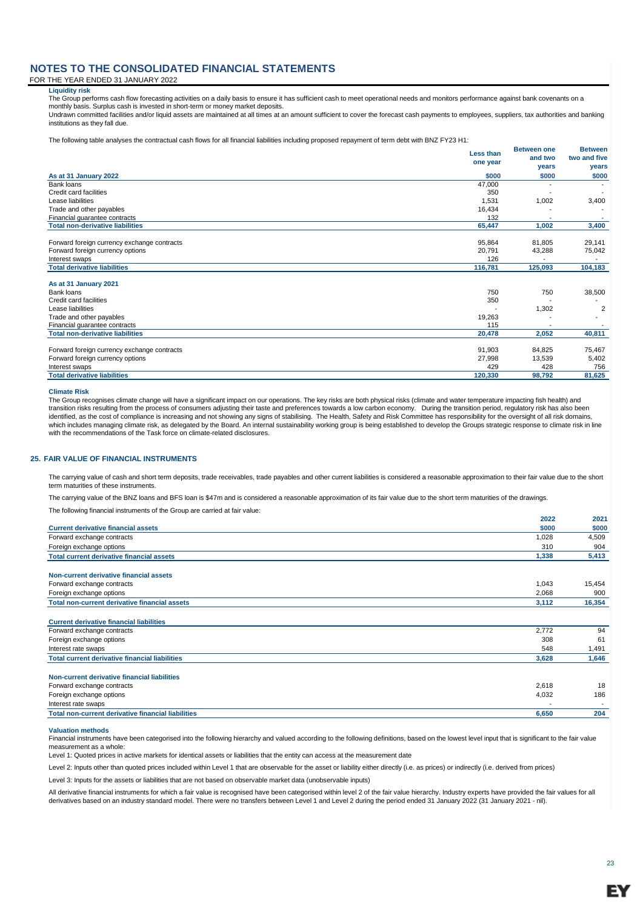#### FOR THE YEAR ENDED 31 JANUARY 2022

#### **Liquidity risk**

The Group performs cash flow forecasting activities on a daily basis to ensure it has sufficient cash to meet operational needs and monitors performance against bank covenants on a monthly basis. Surplus cash is invested in short-term or money market deposits.

Undrawn committed facilities and/or liquid assets are maintained at all times at an amount sufficient to cover the forecast cash payments to employees, suppliers, tax authorities and banking institutions as they fall due.

The following table analyses the contractual cash flows for all financial liabilities including proposed repayment of term debt with BNZ FY23 H1:

|                                             | Less than<br>one year | <b>Between one</b><br>and two | <b>Between</b><br>two and five |
|---------------------------------------------|-----------------------|-------------------------------|--------------------------------|
|                                             |                       | years                         | years                          |
| As at 31 January 2022                       | \$000                 | \$000                         | \$000                          |
| Bank loans                                  | 47,000                |                               |                                |
| Credit card facilities                      | 350                   |                               |                                |
| Lease liabilities                           | 1,531                 | 1,002                         | 3,400                          |
| Trade and other payables                    | 16.434                |                               |                                |
| Financial guarantee contracts               | 132                   |                               |                                |
| <b>Total non-derivative liabilities</b>     | 65,447                | 1,002                         | 3,400                          |
| Forward foreign currency exchange contracts | 95,864                | 81,805                        | 29,141                         |
| Forward foreign currency options            | 20,791                | 43,288                        | 75,042                         |
| Interest swaps                              | 126                   |                               |                                |
| <b>Total derivative liabilities</b>         | 116,781               | 125,093                       | 104,183                        |
| As at 31 January 2021                       |                       |                               |                                |
| Bank loans                                  | 750                   | 750                           | 38,500                         |
| Credit card facilities                      | 350                   |                               |                                |
| Lease liabilities                           |                       | 1,302                         | $\overline{2}$                 |
| Trade and other payables                    | 19,263                |                               |                                |
| Financial quarantee contracts               | 115                   |                               |                                |
| <b>Total non-derivative liabilities</b>     | 20,478                | 2,052                         | 40,811                         |
| Forward foreign currency exchange contracts | 91,903                | 84,825                        | 75,467                         |
| Forward foreign currency options            | 27,998                | 13,539                        | 5,402                          |
| Interest swaps                              | 429                   | 428                           | 756                            |
| <b>Total derivative liabilities</b>         | 120,330               | 98,792                        | 81,625                         |

#### **Climate Risk**

The Group recognises climate change will have a significant impact on our operations. The key risks are both physical risks (climate and water temperature impacting fish health) and transition risks resulting from the process of consumers adjusting their taste and preferences towards a low carbon economy. During the transition period, regulatory risk has also been identified, as the cost of compliance is increasing and not showing any signs of stabilising. The Health, Safety and Risk Committee has responsibility for the oversight of all risk domains,<br>which includes managing climate with the recommendations of the Task force on climate-related disclosures.

#### **25. FAIR VALUE OF FINANCIAL INSTRUMENTS**

The carrying value of cash and short term deposits, trade receivables, trade payables and other current liabilities is considered a reasonable approximation to their fair value due to the short term maturities of these instruments.

The carrying value of the BNZ loans and BFS loan is \$47m and is considered a reasonable approximation of its fair value due to the short term maturities of the drawings.

The following financial instruments of the Group are carried at fair value:

|                                                           | 2022  | 2021   |
|-----------------------------------------------------------|-------|--------|
| <b>Current derivative financial assets</b>                | \$000 | \$000  |
| Forward exchange contracts                                | 1,028 | 4,509  |
| Foreign exchange options                                  | 310   | 904    |
| <b>Total current derivative financial assets</b>          | 1,338 | 5,413  |
| Non-current derivative financial assets                   |       |        |
| Forward exchange contracts                                | 1,043 | 15,454 |
| Foreign exchange options                                  | 2,068 | 900    |
| <b>Total non-current derivative financial assets</b>      | 3,112 | 16,354 |
| <b>Current derivative financial liabilities</b>           |       |        |
| Forward exchange contracts                                | 2,772 | 94     |
| Foreign exchange options                                  | 308   | 61     |
| Interest rate swaps                                       | 548   | 1,491  |
| <b>Total current derivative financial liabilities</b>     | 3,628 | 1,646  |
| Non-current derivative financial liabilities              |       |        |
| Forward exchange contracts                                | 2,618 | 18     |
| Foreign exchange options                                  | 4,032 | 186    |
| Interest rate swaps                                       |       |        |
| <b>Total non-current derivative financial liabilities</b> | 6,650 | 204    |
|                                                           |       |        |

#### **Valuation methods**

Financial instruments have been categorised into the following hierarchy and valued according to the following definitions, based on the lowest level input that is significant to the fair value measurement as a whole:

Level 1: Quoted prices in active markets for identical assets or liabilities that the entity can access at the measurement date

Level 2: Inputs other than quoted prices included within Level 1 that are observable for the asset or liability either directly (i.e. as prices) or indirectly (i.e. derived from prices)

Level 3: Inputs for the assets or liabilities that are not based on observable market data (unobservable inputs)

All derivative financial instruments for which a fair value is recognised have been categorised within level 2 of the fair value hierarchy. Industry experts have provided the fair values for all<br>derivatives based on an ind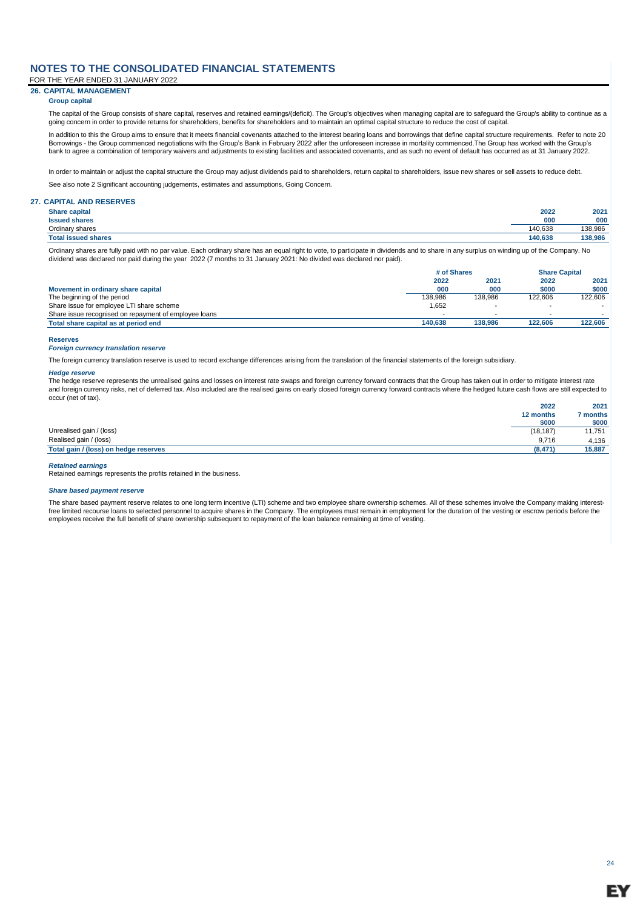FOR THE YEAR ENDED 31 JANUARY 2022

### **26. CAPITAL MANAGEMENT**

#### **Group capital**

The capital of the Group consists of share capital, reserves and retained earnings/(deficit). The Group's objectives when managing capital are to safeguard the Group's ability to continue as a going concern in order to provide returns for shareholders, benefits for shareholders and to maintain an optimal capital structure to reduce the cost of capital.

In addition to this the Group aims to ensure that it meets financial covenants attached to the interest bearing loans and borrowings that define capital structure requirements. Refer to note 20 Borrowings - the Group commenced negotiations with the Group's Bank in February 2022 after the unforeseen increase in mortality commenced.The Group has worked with the Group's bank to agree a combination of temporary waivers and adjustments to existing facilities and associated covenants, and as such no event of default has occurred as at 31 January 2022.

In order to maintain or adjust the capital structure the Group may adjust dividends paid to shareholders, return capital to shareholders, issue new shares or sell assets to reduce debt.

See also note 2 Significant accounting judgements, estimates and assumptions, Going Concern.

#### **27. CAPITAL AND RESERVES**

| <b>Share capital</b>       | 2022    | 2021    |
|----------------------------|---------|---------|
| <b>Issued shares</b>       | 000     | 000     |
| Ordinary shares            | 140.638 | 138,986 |
| <b>Total issued shares</b> | 140.638 | 138,986 |

Ordinary shares are fully paid with no par value. Each ordinary share has an equal right to vote, to participate in dividends and to share in any surplus on winding up of the Company. No dividend was declared nor paid during the year 2022 (7 months to 31 January 2021: No divided was declared nor paid).

|                                                       | # of Shares |         | <b>Share Capital</b> |         |
|-------------------------------------------------------|-------------|---------|----------------------|---------|
|                                                       | 2022        | 2021    | 2022                 | 2021    |
| Movement in ordinary share capital                    | 000         | 000     | \$000                | \$000   |
| The beginning of the period                           | 138.986     | 138.986 | 122.606              | 122.606 |
| Share issue for employee LTI share scheme             | 1,652       |         |                      |         |
| Share issue recognised on repayment of employee loans |             |         |                      |         |
| Total share capital as at period end                  | 140.638     | 138.986 | 122.606              | 122,606 |

#### **Reserves**

#### *Foreign currency translation reserve*

The foreign currency translation reserve is used to record exchange differences arising from the translation of the financial statements of the foreign subsidiary.

#### *Hedge reserve*

The hedge reserve represents the unrealised gains and losses on interest rate swaps and foreign currency forward contracts that the Group has taken out in order to mitigate interest rate and foreign currency risks, net of deferred tax. Also included are the realised gains on early closed foreign currency forward contracts where the hedged future cash flows are still expected to occur (net of tax).

|                                       | 2022      | 2021   |
|---------------------------------------|-----------|--------|
|                                       | 12 months | months |
|                                       | \$000     | \$000  |
| Unrealised gain / (loss)              | (18, 187) | 11,751 |
| Realised gain / (loss)                | 9.716     | 4,136  |
| Total gain / (loss) on hedge reserves | (8,471)   | 15,887 |
|                                       |           |        |

#### *Retained earnings*

Retained earnings represents the profits retained in the business.

#### *Share based payment reserve*

The share based payment reserve relates to one long term incentive (LTI) scheme and two employee share ownership schemes. All of these schemes involve the Company making interestfree limited recourse loans to selected personnel to acquire shares in the Company. The employees must remain in employment for the duration of the vesting or escrow periods before the employees receive the full benefit of share ownership subsequent to repayment of the loan balance remaining at time of vesting.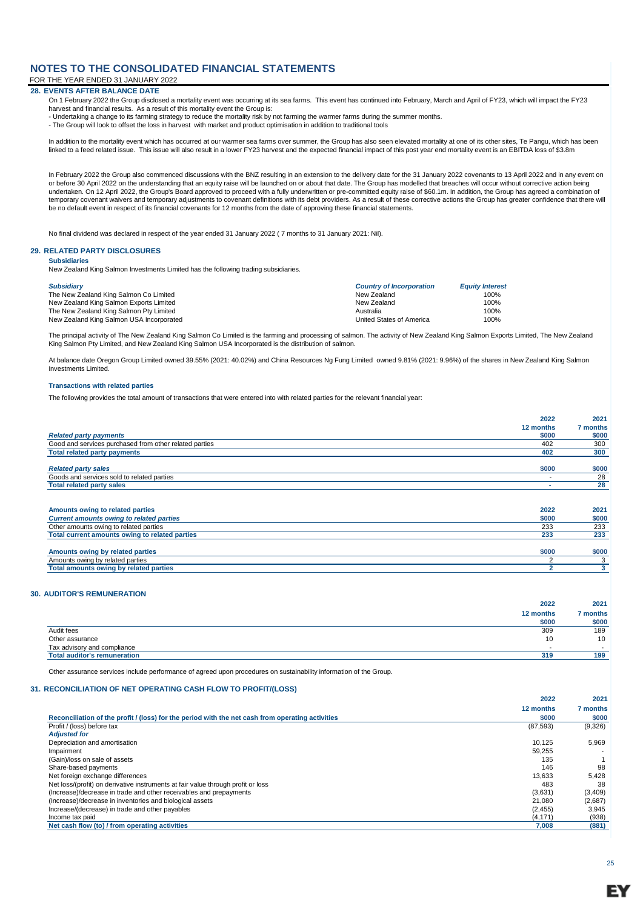FOR THE YEAR ENDED 31 JANUARY 2022

#### **28. EVENTS AFTER BALANCE DATE**

- On 1 February 2022 the Group disclosed a mortality event was occurring at its sea farms. This event has continued into February, March and April of FY23, which will impact the FY23 harvest and financial results. As a result of this mortality event the Group is:
- Undertaking a change to its farming strategy to reduce the mortality risk by not farming the warmer farms during the summer months.
- The Group will look to offset the loss in harvest with market and product optimisation in addition to traditional tools

In addition to the mortality event which has occurred at our warmer sea farms over summer, the Group has also seen elevated mortality at one of its other sites, Te Pangu, which has been linked to a feed related issue. This issue will also result in a lower FY23 harvest and the expected financial impact of this post year end mortality event is an EBITDA loss of \$3.8m

In February 2022 the Group also commenced discussions with the BNZ resulting in an extension to the delivery date for the 31 January 2022 covenants to 13 April 2022 and in any event on or before 30 April 2022 on the understanding that an equity raise will be launched on or about that date. The Group has modelled that breaches will occur without corrective action being undertaken. On 12 April 2022, the Group's Board approved to proceed with a fully underwritten or pre-committed equity raise of \$60.1m. In addition, the Group has agreed a combination of temporary covenant waivers and temporary adjustments to covenant definitions with its debt providers. As a result of these corrective actions the Group has greater confidence that there will be no default event in respect of its financial covenants for 12 months from the date of approving these financial statements.

No final dividend was declared in respect of the year ended 31 January 2022 ( 7 months to 31 January 2021: Nil).

#### **29. RELATED PARTY DISCLOSURES**

#### **Subsidiaries**

New Zealand King Salmon Investments Limited has the following trading subsidiaries.

| <b>Subsidiary</b>                        | <b>Country of Incorporation</b> | <b>Equity Interest</b> |
|------------------------------------------|---------------------------------|------------------------|
| The New Zealand King Salmon Co Limited   | New Zealand                     | 100%                   |
| New Zealand King Salmon Exports Limited  | New Zealand                     | 100%                   |
| The New Zealand King Salmon Pty Limited  | Australia                       | 100%                   |
| New Zealand King Salmon USA Incorporated | United States of America        | 100%                   |

The principal activity of The New Zealand King Salmon Co Limited is the farming and processing of salmon. The activity of New Zealand King Salmon Exports Limited, The New Zealand King Salmon Pty Limited, and New Zealand King Salmon USA Incorporated is the distribution of salmon.

At balance date Oregon Group Limited owned 39.55% (2021: 40.02%) and China Resources Ng Fung Limited owned 9.81% (2021: 9.96%) of the shares in New Zealand King Salmon Investments Limited.

#### **Transactions with related parties**

The following provides the total amount of transactions that were entered into with related parties for the relevant financial year:

|                                                        | 2022      | 2021     |
|--------------------------------------------------------|-----------|----------|
|                                                        | 12 months | 7 months |
| <b>Related party payments</b>                          | \$000     | \$000    |
| Good and services purchased from other related parties | 402       | 300      |
| <b>Total related party payments</b>                    | 402       | 300      |
| <b>Related party sales</b>                             | \$000     | \$000    |
| Goods and services sold to related parties             |           | 28       |
| <b>Total related party sales</b>                       |           | 28       |
|                                                        |           |          |
| Amounts owing to related parties                       | 2022      | 2021     |
| <b>Current amounts owing to related parties</b>        | \$000     | \$000    |
| Other amounts owing to related parties                 | 233       | 233      |
| Total current amounts owing to related parties         | 233       | 233      |
|                                                        |           |          |
| Amounts owing by related parties                       | \$000     | \$000    |
| Amounts owing by related parties                       |           | 3        |
| Total amounts owing by related parties                 |           | 3        |

#### **30. AUDITOR'S REMUNERATION**

|                                     | 2022      | 2021   |
|-------------------------------------|-----------|--------|
|                                     | 12 months | months |
|                                     | \$000     | \$000  |
| Audit fees                          | 309       | 189    |
| Other assurance                     | 10        | 10     |
| Tax advisory and compliance         |           |        |
| <b>Total auditor's remuneration</b> | 319       | 199    |

Other assurance services include performance of agreed upon procedures on sustainability information of the Group.

#### **31. RECONCILIATION OF NET OPERATING CASH FLOW TO PROFIT/(LOSS)**

|                                                                                                  | 12 months | 7 months |
|--------------------------------------------------------------------------------------------------|-----------|----------|
| Reconciliation of the profit / (loss) for the period with the net cash from operating activities | \$000     | \$000    |
| Profit / (loss) before tax                                                                       | (87,593)  | (9,326)  |
| <b>Adiusted for</b>                                                                              |           |          |
| Depreciation and amortisation                                                                    | 10.125    | 5.969    |
| Impairment                                                                                       | 59.255    |          |
| (Gain)/loss on sale of assets                                                                    | 135       |          |
| Share-based payments                                                                             | 146       | 98       |
| Net foreign exchange differences                                                                 | 13.633    | 5,428    |
| Net loss/(profit) on derivative instruments at fair value through profit or loss                 | 483       | 38       |
| (Increase)/decrease in trade and other receivables and prepayments                               | (3,631)   | (3,409)  |
| (Increase)/decrease in inventories and biological assets                                         | 21.080    | (2,687)  |
| Increase/(decrease) in trade and other payables                                                  | (2, 455)  | 3.945    |
| Income tax paid                                                                                  | (4, 171)  | (938)    |
| Net cash flow (to) / from operating activities                                                   | 7,008     | (881)    |

25

**2022 2021**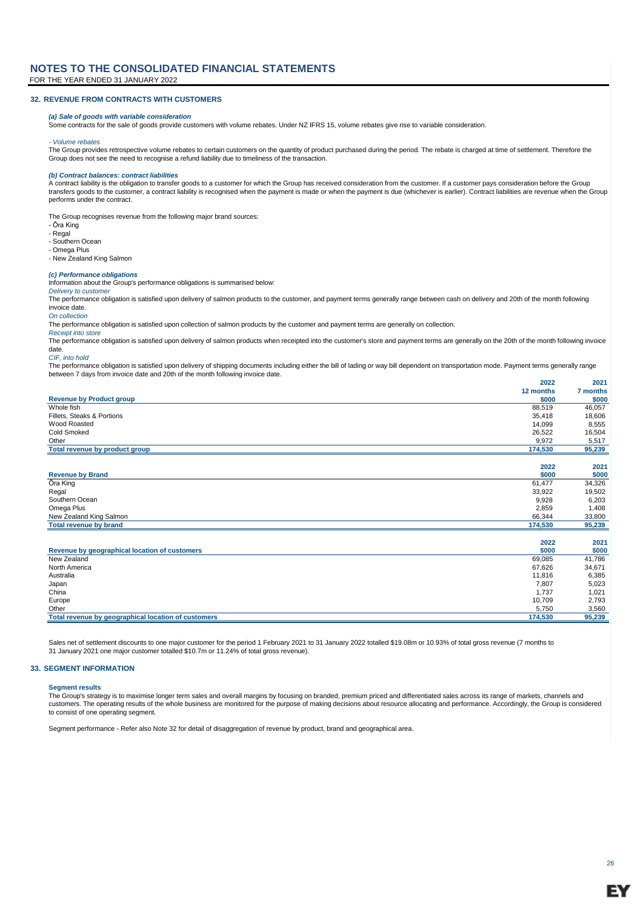#### **32. REVENUE FROM CONTRACTS WITH CUSTOMERS**

#### *(a) Sale of goods with variable consideration*

Some contracts for the sale of goods provide customers with volume rebates. Under NZ IFRS 15, volume rebates give rise to variable consideration.

#### *- Volume rebates*

The Group provides retrospective volume rebates to certain customers on the quantity of product purchased during the period. The rebate is charged at time of settlement. Therefore the Group does not see the need to recognise a refund liability due to timeliness of the transaction.

#### *(b) Contract balances: contract liabilities*

A contract liability is the obligation to transfer goods to a customer for which the Group has received consideration from the customer. If a customer pays consideration before the Group transfers goods to the customer, a contract liability is recognised when the payment is made or when the payment is due (whichever is earlier). Contract liabilities are revenue when the Group performs under the contract.

The Group recognises revenue from the following major brand sources:

- Ōra King
- Regal - Southern Ocean
- 

- Omega Plus - New Zealand King Salmon

*(c) Performance obligations* Information about the Group's performance obligations is summarised below:

#### *Delivery to customer*

The performance obligation is satisfied upon delivery of salmon products to the customer, and payment terms generally range between cash on delivery and 20th of the month following invoice date.

#### *On collection*

The performance obligation is satisfied upon collection of salmon products by the customer and payment terms are generally on collection.

#### *Receipt into store*

The performance obligation is satisfied upon delivery of salmon products when receipted into the customer's store and payment terms are generally on the 20th of the month following invoice date.

#### *CIF, into hold*

**2022 2021** The performance obligation is satisfied upon delivery of shipping documents including either the bill of lading or way bill dependent on transportation mode. Payment terms generally range between 7 days from invoice date and 20th of the month following invoice date.

|                                 | ----      | ---      |
|---------------------------------|-----------|----------|
|                                 | 12 months | 7 months |
| <b>Revenue by Product group</b> | \$000     | \$000    |
| Whole fish                      | 88,519    | 46,057   |
| Fillets, Steaks & Portions      | 35.418    | 18,606   |
| Wood Roasted                    | 14,099    | 8,555    |
| Cold Smoked                     | 26,522    | 16,504   |
| Other                           | 9.972     | 5,517    |
| Total revenue by product group  | 174,530   | 95,239   |
|                                 | 2022      | 2021     |
| <b>Revenue by Brand</b>         | \$000     | \$000    |
| Ōra King                        | 61.477    | 34,326   |

|                         | 2022    | 2021   |
|-------------------------|---------|--------|
| Total revenue by brand  | 174,530 | 95,239 |
| New Zealand King Salmon | 66,344  | 33,800 |
| Omega Plus              | 2,859   | 408. ا |
| Southern Ocean          | 9,928   | 6,203  |
| Regal                   | 33,922  | 19,502 |
| ______                  | .       | - - -  |

| Revenue by geographical location of customers       | \$000   | \$000  |
|-----------------------------------------------------|---------|--------|
| New Zealand                                         | 69.085  | 41,786 |
| North America                                       | 67.626  | 34.671 |
| Australia                                           | 11,816  | 6,385  |
| Japan                                               | 7,807   | 5,023  |
| China                                               | 1.737   | 1,021  |
| Europe                                              | 10.709  | 2,793  |
| Other                                               | 5.750   | 3,560  |
| Total revenue by geographical location of customers | 174,530 | 95,239 |
|                                                     |         |        |

Sales net of settlement discounts to one major customer for the period 1 February 2021 to 31 January 2022 totalled \$19.08m or 10.93% of total gross revenue (7 months to 31 January 2021 one major customer totalled \$10.7m or 11.24% of total gross revenue).

#### **33. SEGMENT INFORMATION**

### **Segment results**

The Group's strategy is to maximise longer term sales and overall margins by focusing on branded, premium priced and differentiated sales across its range of markets, channels and customers. The operating results of the whole business are monitored for the purpose of making decisions about resource allocating and performance. Accordingly, the Group is considered to consist of one operating segment.

Segment performance - Refer also Note 32 for detail of disaggregation of revenue by product, brand and geographical area.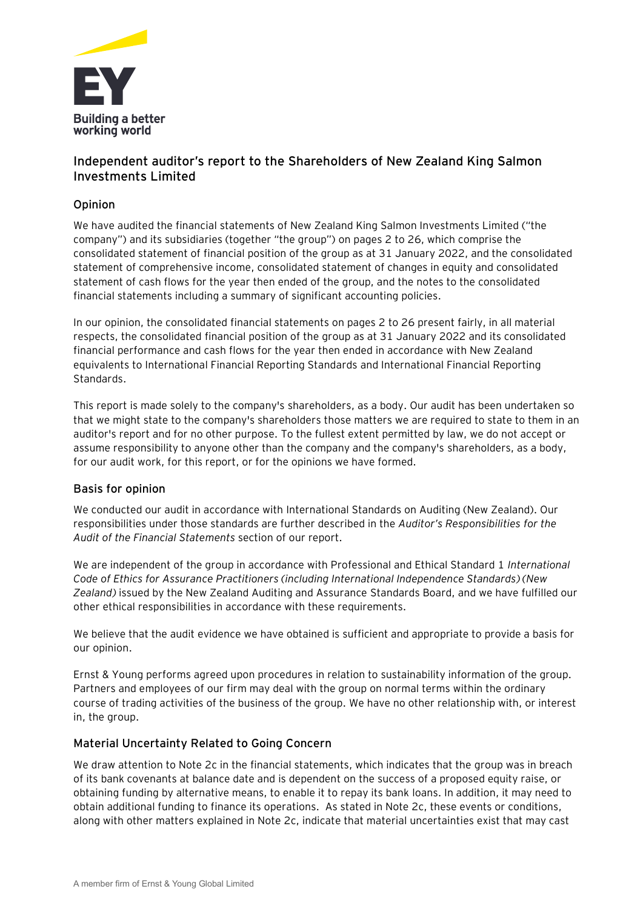

## **Independent auditor's report to the Shareholders of New Zealand King Salmon Investments Limited**

## **Opinion**

We have audited the financial statements of New Zealand King Salmon Investments Limited ("the company") and its subsidiaries (together "the group") on pages 2 to 26, which comprise the consolidated statement of financial position of the group as at 31 January 2022, and the consolidated statement of comprehensive income, consolidated statement of changes in equity and consolidated statement of cash flows for the year then ended of the group, and the notes to the consolidated financial statements including a summary of significant accounting policies.

In our opinion, the consolidated financial statements on pages 2 to 26 present fairly, in all material respects, the consolidated financial position of the group as at 31 January 2022 and its consolidated financial performance and cash flows for the year then ended in accordance with New Zealand equivalents to International Financial Reporting Standards and International Financial Reporting Standards.

This report is made solely to the company's shareholders, as a body. Our audit has been undertaken so that we might state to the company's shareholders those matters we are required to state to them in an auditor's report and for no other purpose. To the fullest extent permitted by law, we do not accept or assume responsibility to anyone other than the company and the company's shareholders, as a body, for our audit work, for this report, or for the opinions we have formed.

## **Basis for opinion**

We conducted our audit in accordance with International Standards on Auditing (New Zealand). Our responsibilities under those standards are further described in the *Auditor's Responsibilities for the Audit of the Financial Statements* section of our report.

We are independent of the group in accordance with Professional and Ethical Standard 1 *International Code of Ethics for Assurance Practitioners (including International Independence Standards) (New Zealand)* issued by the New Zealand Auditing and Assurance Standards Board, and we have fulfilled our other ethical responsibilities in accordance with these requirements.

We believe that the audit evidence we have obtained is sufficient and appropriate to provide a basis for our opinion.

Ernst & Young performs agreed upon procedures in relation to sustainability information of the group. Partners and employees of our firm may deal with the group on normal terms within the ordinary course of trading activities of the business of the group. We have no other relationship with, or interest in, the group.

## **Material Uncertainty Related to Going Concern**

We draw attention to Note 2c in the financial statements, which indicates that the group was in breach of its bank covenants at balance date and is dependent on the success of a proposed equity raise, or obtaining funding by alternative means, to enable it to repay its bank loans. In addition, it may need to obtain additional funding to finance its operations. As stated in Note 2c, these events or conditions, along with other matters explained in Note 2c, indicate that material uncertainties exist that may cast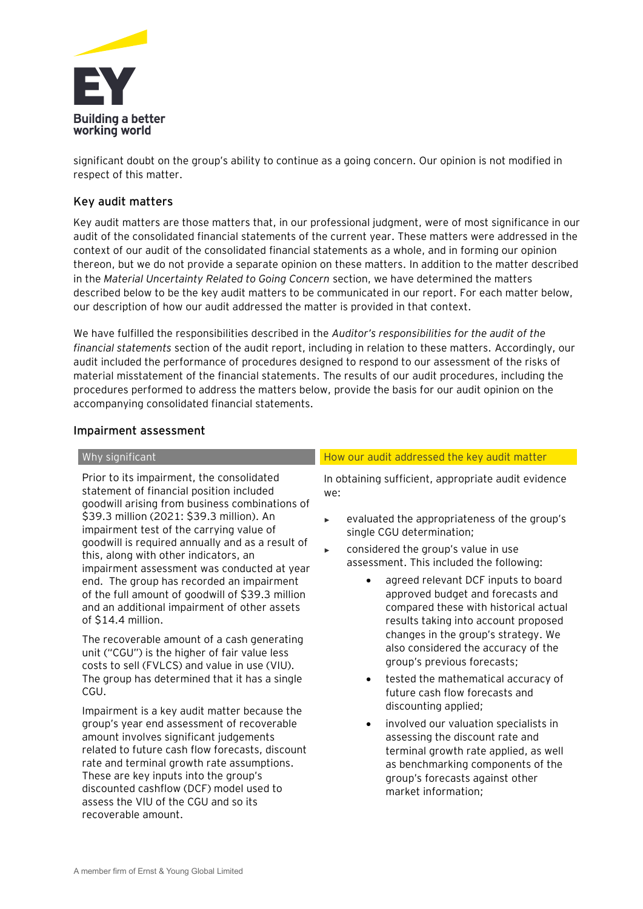

significant doubt on the group's ability to continue as a going concern. Our opinion is not modified in respect of this matter.

## **Key audit matters**

Key audit matters are those matters that, in our professional judgment, were of most significance in our audit of the consolidated financial statements of the current year. These matters were addressed in the context of our audit of the consolidated financial statements as a whole, and in forming our opinion thereon, but we do not provide a separate opinion on these matters. In addition to the matter described in the *Material Uncertainty Related to Going Concern* section, we have determined the matters described below to be the key audit matters to be communicated in our report. For each matter below, our description of how our audit addressed the matter is provided in that context.

We have fulfilled the responsibilities described in the *Auditor's responsibilities for the audit of the financial statements* section of the audit report, including in relation to these matters. Accordingly, our audit included the performance of procedures designed to respond to our assessment of the risks of material misstatement of the financial statements. The results of our audit procedures, including the procedures performed to address the matters below, provide the basis for our audit opinion on the accompanying consolidated financial statements.

### **Impairment assessment**

Prior to its impairment, the consolidated statement of financial position included goodwill arising from business combinations of \$39.3 million (2021: \$39.3 million). An impairment test of the carrying value of goodwill is required annually and as a result of this, along with other indicators, an impairment assessment was conducted at year end. The group has recorded an impairment of the full amount of goodwill of \$39.3 million and an additional impairment of other assets of \$14.4 million.

The recoverable amount of a cash generating unit ("CGU") is the higher of fair value less costs to sell (FVLCS) and value in use (VIU). The group has determined that it has a single CGU.

Impairment is a key audit matter because the group's year end assessment of recoverable amount involves significant judgements related to future cash flow forecasts, discount rate and terminal growth rate assumptions. These are key inputs into the group's discounted cashflow (DCF) model used to assess the VIU of the CGU and so its recoverable amount.

### Why significant How our audit addressed the key audit matter How our audit matter

In obtaining sufficient, appropriate audit evidence we:

- evaluated the appropriateness of the group's single CGU determination;
- considered the group's value in use assessment. This included the following:
	- agreed relevant DCF inputs to board approved budget and forecasts and compared these with historical actual results taking into account proposed changes in the group's strategy. We also considered the accuracy of the group's previous forecasts;
	- tested the mathematical accuracy of future cash flow forecasts and discounting applied;
	- involved our valuation specialists in assessing the discount rate and terminal growth rate applied, as well as benchmarking components of the group's forecasts against other market information;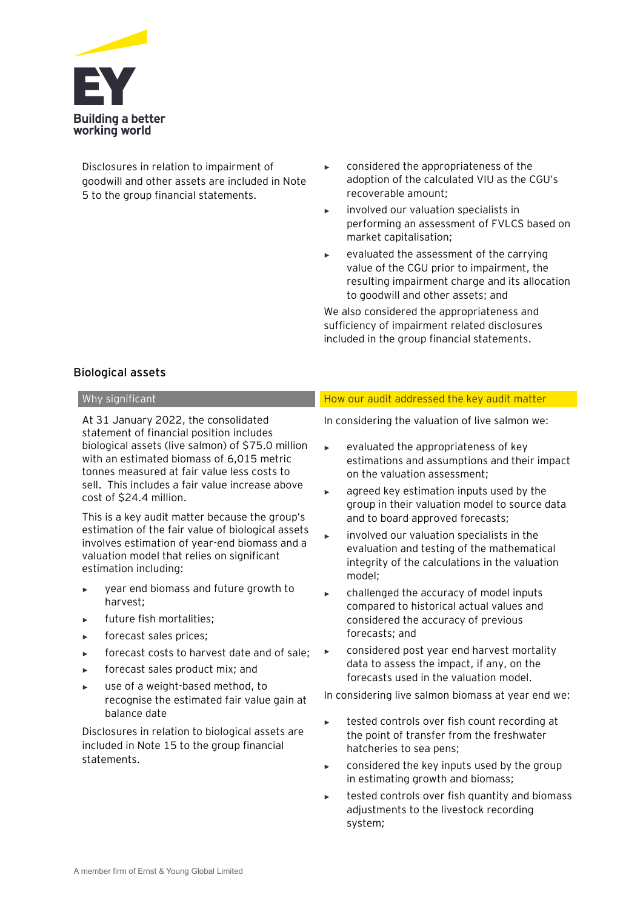

Disclosures in relation to impairment of goodwill and other assets are included in Note 5 to the group financial statements.

- considered the appropriateness of the adoption of the calculated VIU as the CGU's recoverable amount;
- involved our valuation specialists in performing an assessment of FVLCS based on market capitalisation;
- evaluated the assessment of the carrying value of the CGU prior to impairment, the resulting impairment charge and its allocation to goodwill and other assets; and

We also considered the appropriateness and sufficiency of impairment related disclosures included in the group financial statements.

## **Biological assets**

At 31 January 2022, the consolidated statement of financial position includes biological assets (live salmon) of \$75.0 million with an estimated biomass of 6,015 metric tonnes measured at fair value less costs to sell. This includes a fair value increase above cost of \$24.4 million.

This is a key audit matter because the group's estimation of the fair value of biological assets involves estimation of year-end biomass and a valuation model that relies on significant estimation including:

- year end biomass and future growth to harvest;
- future fish mortalities;
- ► forecast sales prices;
- forecast costs to harvest date and of sale;
- forecast sales product mix; and
- use of a weight-based method, to recognise the estimated fair value gain at balance date

Disclosures in relation to biological assets are included in Note 15 to the group financial statements.

### Why significant How our audit addressed the key audit matter how our audit addressed the key audit matter

In considering the valuation of live salmon we:

- evaluated the appropriateness of key estimations and assumptions and their impact on the valuation assessment;
- ► agreed key estimation inputs used by the group in their valuation model to source data and to board approved forecasts;
- involved our valuation specialists in the evaluation and testing of the mathematical integrity of the calculations in the valuation model;
- challenged the accuracy of model inputs compared to historical actual values and considered the accuracy of previous forecasts; and
- considered post year end harvest mortality data to assess the impact, if any, on the forecasts used in the valuation model.

In considering live salmon biomass at year end we:

- tested controls over fish count recording at the point of transfer from the freshwater hatcheries to sea pens;
- considered the key inputs used by the group in estimating growth and biomass;
- tested controls over fish quantity and biomass adjustments to the livestock recording system;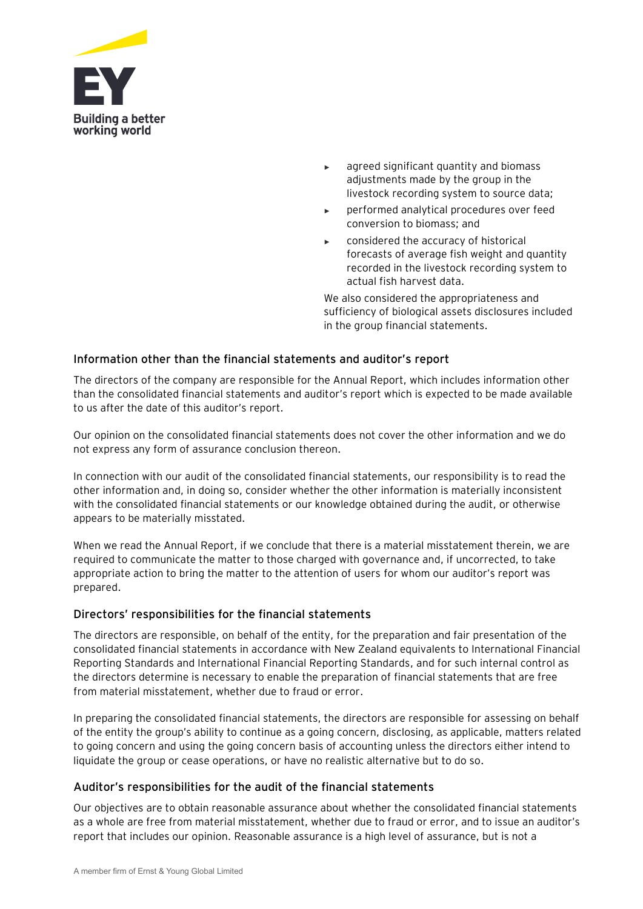

- agreed significant quantity and biomass adjustments made by the group in the livestock recording system to source data;
- performed analytical procedures over feed conversion to biomass; and
- considered the accuracy of historical forecasts of average fish weight and quantity recorded in the livestock recording system to actual fish harvest data.

We also considered the appropriateness and sufficiency of biological assets disclosures included in the group financial statements.

## **Information other than the financial statements and auditor's report**

The directors of the company are responsible for the Annual Report, which includes information other than the consolidated financial statements and auditor's report which is expected to be made available to us after the date of this auditor's report.

Our opinion on the consolidated financial statements does not cover the other information and we do not express any form of assurance conclusion thereon.

In connection with our audit of the consolidated financial statements, our responsibility is to read the other information and, in doing so, consider whether the other information is materially inconsistent with the consolidated financial statements or our knowledge obtained during the audit, or otherwise appears to be materially misstated.

When we read the Annual Report, if we conclude that there is a material misstatement therein, we are required to communicate the matter to those charged with governance and, if uncorrected, to take appropriate action to bring the matter to the attention of users for whom our auditor's report was prepared.

## **Directors' responsibilities for the financial statements**

The directors are responsible, on behalf of the entity, for the preparation and fair presentation of the consolidated financial statements in accordance with New Zealand equivalents to International Financial Reporting Standards and International Financial Reporting Standards, and for such internal control as the directors determine is necessary to enable the preparation of financial statements that are free from material misstatement, whether due to fraud or error.

In preparing the consolidated financial statements, the directors are responsible for assessing on behalf of the entity the group's ability to continue as a going concern, disclosing, as applicable, matters related to going concern and using the going concern basis of accounting unless the directors either intend to liquidate the group or cease operations, or have no realistic alternative but to do so.

## **Auditor's responsibilities for the audit of the financial statements**

Our objectives are to obtain reasonable assurance about whether the consolidated financial statements as a whole are free from material misstatement, whether due to fraud or error, and to issue an auditor's report that includes our opinion. Reasonable assurance is a high level of assurance, but is not a